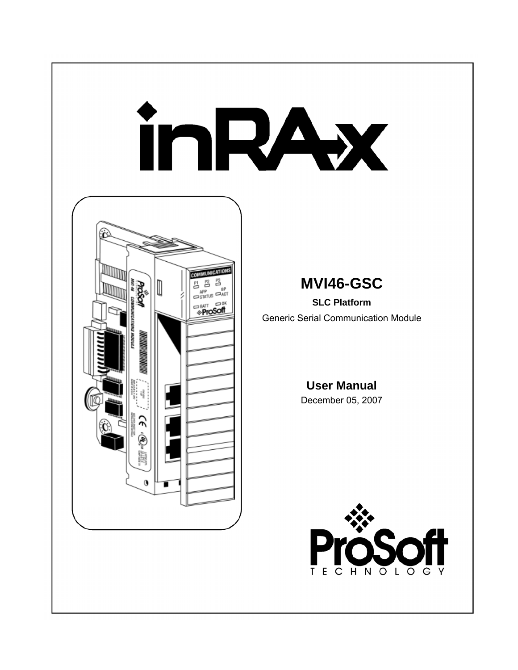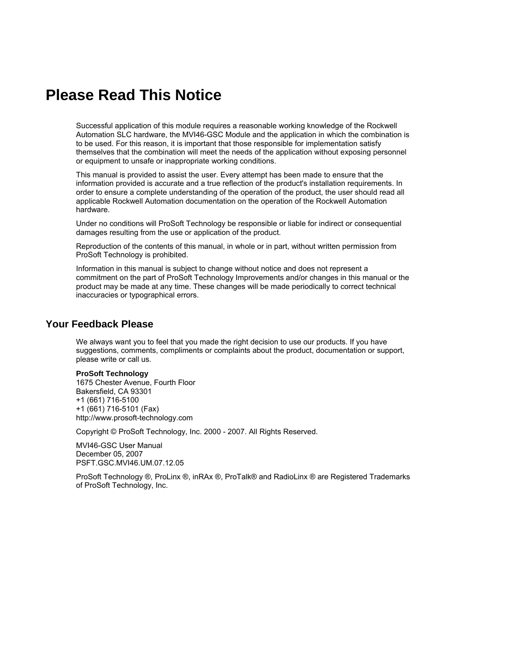# <span id="page-1-0"></span>**Please Read This Notice**

Successful application of this module requires a reasonable working knowledge of the Rockwell Automation SLC hardware, the MVI46-GSC Module and the application in which the combination is to be used. For this reason, it is important that those responsible for implementation satisfy themselves that the combination will meet the needs of the application without exposing personnel or equipment to unsafe or inappropriate working conditions.

This manual is provided to assist the user. Every attempt has been made to ensure that the information provided is accurate and a true reflection of the product's installation requirements. In order to ensure a complete understanding of the operation of the product, the user should read all applicable Rockwell Automation documentation on the operation of the Rockwell Automation hardware.

Under no conditions will ProSoft Technology be responsible or liable for indirect or consequential damages resulting from the use or application of the product.

Reproduction of the contents of this manual, in whole or in part, without written permission from ProSoft Technology is prohibited.

Information in this manual is subject to change without notice and does not represent a commitment on the part of ProSoft Technology Improvements and/or changes in this manual or the product may be made at any time. These changes will be made periodically to correct technical inaccuracies or typographical errors.

#### <span id="page-1-1"></span>**Your Feedback Please**

We always want you to feel that you made the right decision to use our products. If you have suggestions, comments, compliments or complaints about the product, documentation or support, please write or call us.

#### **ProSoft Technology**

1675 Chester Avenue, Fourth Floor Bakersfield, CA 93301 +1 (661) 716-5100 +1 (661) 716-5101 (Fax) http://www.prosoft-technology.com

Copyright © ProSoft Technology, Inc. 2000 - 2007. All Rights Reserved.

MVI46-GSC User Manual December 05, 2007 PSFT.GSC.MVI46.UM.07.12.05

ProSoft Technology ®, ProLinx ®, inRAx ®, ProTalk® and RadioLinx ® are Registered Trademarks of ProSoft Technology, Inc.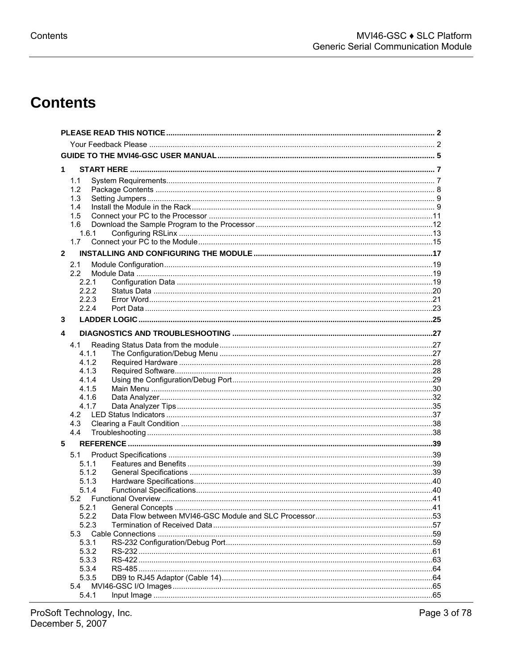# **Contents**

| 1            |                   |  |  |
|--------------|-------------------|--|--|
| 1.1          |                   |  |  |
| 1.2          |                   |  |  |
| 1.3          |                   |  |  |
| 1.4          |                   |  |  |
| 1.5          |                   |  |  |
| 1.6          |                   |  |  |
| 1.6.1        |                   |  |  |
| 1.7          |                   |  |  |
| $\mathbf{2}$ |                   |  |  |
| 2.1          |                   |  |  |
| 2.2          |                   |  |  |
| 2.2.1        |                   |  |  |
| 2.2.2        |                   |  |  |
| 2.2.3        |                   |  |  |
| 2.2.4        |                   |  |  |
| 3            |                   |  |  |
|              |                   |  |  |
| 4            |                   |  |  |
| 4.1          |                   |  |  |
| 4.1.1        |                   |  |  |
| 4.1.2        |                   |  |  |
| 4.1.3        |                   |  |  |
| 4.1.4        |                   |  |  |
| 4.1.5        |                   |  |  |
| 4.1.6        |                   |  |  |
| 4.1.7        |                   |  |  |
| 4.2          |                   |  |  |
| 4.3          |                   |  |  |
| 4.4          |                   |  |  |
| 5            |                   |  |  |
| 5.1          |                   |  |  |
| 5.1.1        |                   |  |  |
| 5.1.2        |                   |  |  |
| 5.1.3        |                   |  |  |
| 5.1.4        |                   |  |  |
| 5.2          |                   |  |  |
| 5.2.1        | General Concepts. |  |  |
| 5.2.2        |                   |  |  |
| 5.2.3        |                   |  |  |
| 5.3          |                   |  |  |
| 5.3.1        |                   |  |  |
| 5.3.2        |                   |  |  |
| 5.3.3        |                   |  |  |
| 5.3.4        |                   |  |  |
| 5.3.5        |                   |  |  |
| 5.4          |                   |  |  |
| 5.4.1        |                   |  |  |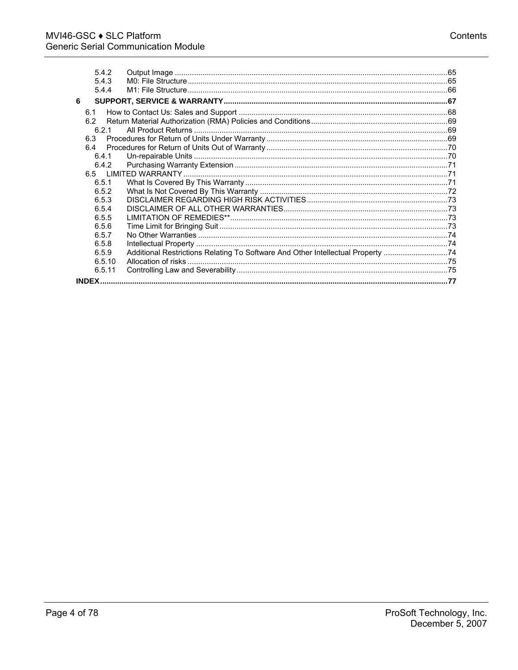|   | 5.4.2        |                                                                                  |  |
|---|--------------|----------------------------------------------------------------------------------|--|
|   | 5.4.3        |                                                                                  |  |
|   | 5.4.4        |                                                                                  |  |
| 6 |              |                                                                                  |  |
|   | 6.1          |                                                                                  |  |
|   | 6.2          |                                                                                  |  |
|   | 6.2.1        |                                                                                  |  |
|   | 6.3          |                                                                                  |  |
|   | 6.4          |                                                                                  |  |
|   | 6.4.1        |                                                                                  |  |
|   | 6.4.2        |                                                                                  |  |
|   |              |                                                                                  |  |
|   | 6.5.1        |                                                                                  |  |
|   | 6.5.2        |                                                                                  |  |
|   | 6.5.3        |                                                                                  |  |
|   | 6.5.4        |                                                                                  |  |
|   | 6.5.5        |                                                                                  |  |
|   | 6.5.6        |                                                                                  |  |
|   | 6.5.7        |                                                                                  |  |
|   | 6.5.8        |                                                                                  |  |
|   | 6.5.9        | Additional Restrictions Relating To Software And Other Intellectual Property  74 |  |
|   | 6.5.10       |                                                                                  |  |
|   | 6.5.11       |                                                                                  |  |
|   | <b>INDFX</b> |                                                                                  |  |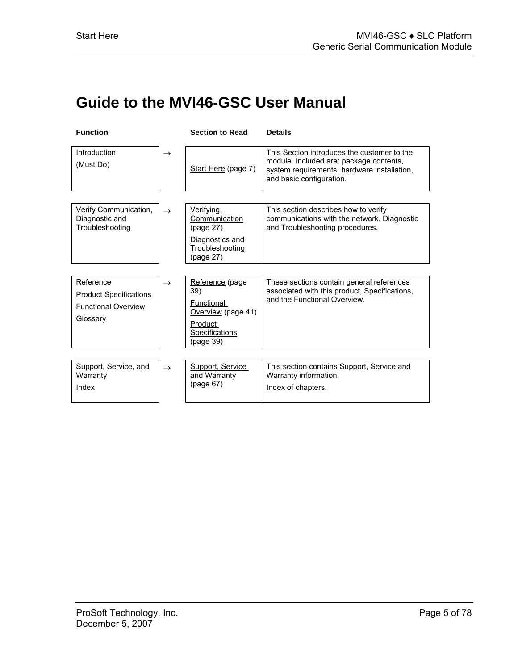# <span id="page-4-0"></span>**Guide to the MVI46-GSC User Manual**

| <b>Function</b>                                            |               | <b>Section to Read</b>                          | <b>Details</b>                                                                                                                                                    |
|------------------------------------------------------------|---------------|-------------------------------------------------|-------------------------------------------------------------------------------------------------------------------------------------------------------------------|
| Introduction<br>(Must Do)                                  | $\rightarrow$ | Start Here (page 7)                             | This Section introduces the customer to the<br>module. Included are: package contents,<br>system requirements, hardware installation,<br>and basic configuration. |
|                                                            |               |                                                 |                                                                                                                                                                   |
| Verify Communication,<br>Diagnostic and<br>Troubleshooting | $\rightarrow$ | <b>Verifying</b><br>Communication<br>(page 27)  | This section describes how to verify<br>communications with the network. Diagnostic<br>and Troubleshooting procedures.                                            |
|                                                            |               | Diagnostics and<br>Troubleshooting<br>(page 27) |                                                                                                                                                                   |
|                                                            |               |                                                 |                                                                                                                                                                   |
| Reference<br><b>Product Specifications</b>                 | $\rightarrow$ | Reference (page<br>39)                          | These sections contain general references<br>associated with this product, Specifications,<br>and the Functional Overview.                                        |
| <b>Functional Overview</b><br>Glossary                     |               | Functional<br>Overview (page 41)                |                                                                                                                                                                   |
|                                                            |               | Product<br>Specifications<br>(page 39)          |                                                                                                                                                                   |
|                                                            |               |                                                 |                                                                                                                                                                   |
| Support, Service, and<br>Warranty                          | $\rightarrow$ | Support, Service<br>and Warranty                | This section contains Support, Service and<br>Warranty information.                                                                                               |
| Index                                                      |               | (page 67)                                       | Index of chapters.                                                                                                                                                |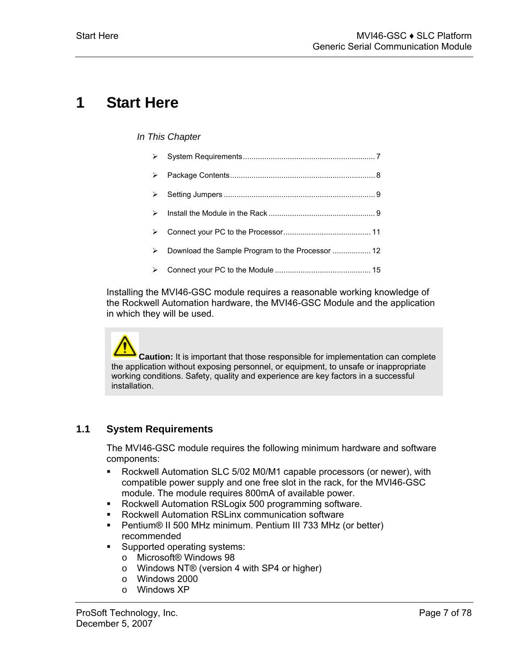# <span id="page-6-0"></span>**1 Start Here**

#### *In This Chapter*

| ⋗ |                                                  |
|---|--------------------------------------------------|
| ⋗ |                                                  |
| ⋗ |                                                  |
| ↘ |                                                  |
| ⋗ |                                                  |
| ⋗ | Download the Sample Program to the Processor  12 |
| ⋗ |                                                  |

Installing the MVI46-GSC module requires a reasonable working knowledge of the Rockwell Automation hardware, the MVI46-GSC Module and the application in which they will be used.

**Caution:** It is important that those responsible for implementation can complete the application without exposing personnel, or equipment, to unsafe or inappropriate working conditions. Safety, quality and experience are key factors in a successful installation.

# **1.1 System Requirements**

<span id="page-6-1"></span>The MVI46-GSC module requires the following minimum hardware and software components:

- Rockwell Automation SLC 5/02 M0/M1 capable processors (or newer), with compatible power supply and one free slot in the rack, for the MVI46-GSC module. The module requires 800mA of available power.
- **Rockwell Automation RSLogix 500 programming software.**
- Rockwell Automation RSLinx communication software
- Pentium® II 500 MHz minimum. Pentium III 733 MHz (or better) recommended
- **Supported operating systems:** 
	- o Microsoft® Windows 98
	- o Windows NT® (version 4 with SP4 or higher)
	- o Windows 2000
	- o Windows XP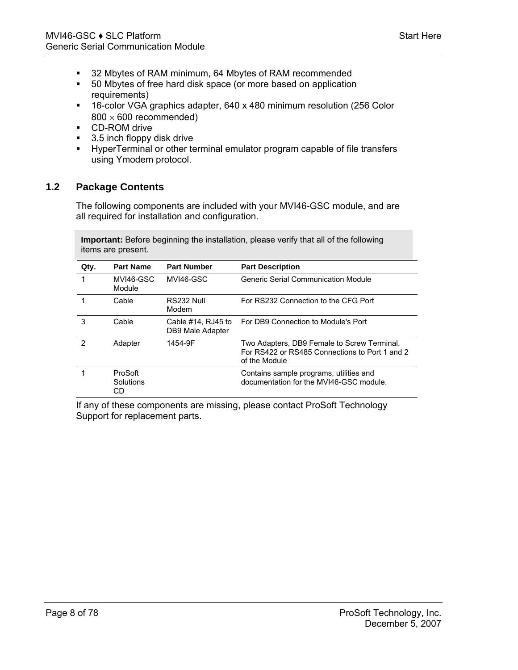- 32 Mbytes of RAM minimum, 64 Mbytes of RAM recommended
- 50 Mbytes of free hard disk space (or more based on application requirements)
- 16-color VGA graphics adapter, 640 x 480 minimum resolution (256 Color  $800 \times 600$  recommended)
- **CD-ROM** drive
- 3.5 inch floppy disk drive
- HyperTerminal or other terminal emulator program capable of file transfers using Ymodem protocol.

## **1.2 Package Contents**

<span id="page-7-0"></span>The following components are included with your MVI46-GSC module, and are all required for installation and configuration.

**Important:** Before beginning the installation, please verify that all of the following items are present.

| Qty. | <b>Part Name</b>           | <b>Part Number</b>                           | <b>Part Description</b>                                                                                        |
|------|----------------------------|----------------------------------------------|----------------------------------------------------------------------------------------------------------------|
|      | MVI46-GSC<br>Module        | MVI46-GSC                                    | Generic Serial Communication Module                                                                            |
|      | Cable                      | RS232 Null<br>Modem                          | For RS232 Connection to the CFG Port                                                                           |
| 3    | Cable                      | Cable $#14$ , RJ $45$ to<br>DB9 Male Adapter | For DB9 Connection to Module's Port                                                                            |
| 2    | Adapter                    | 1454-9F                                      | Two Adapters, DB9 Female to Screw Terminal.<br>For RS422 or RS485 Connections to Port 1 and 2<br>of the Module |
|      | ProSoft<br>Solutions<br>CD |                                              | Contains sample programs, utilities and<br>documentation for the MVI46-GSC module.                             |

If any of these components are missing, please contact ProSoft Technology Support for replacement parts.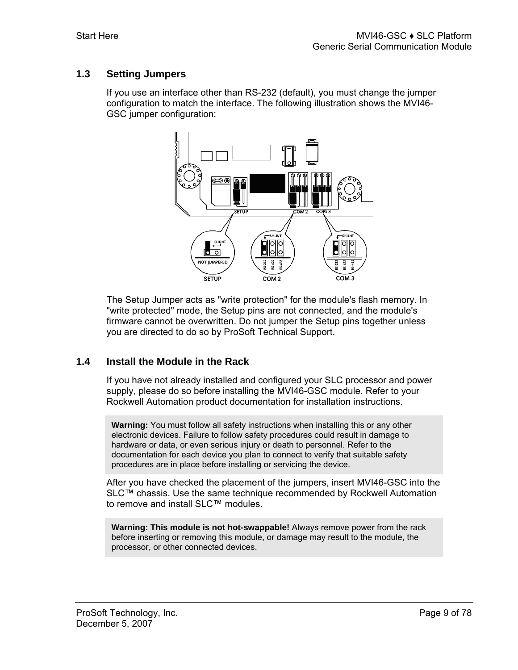## **1.3 Setting Jumpers**

<span id="page-8-0"></span>If you use an interface other than RS-232 (default), you must change the jumper configuration to match the interface. The following illustration shows the MVI46- GSC jumper configuration:



The Setup Jumper acts as "write protection" for the module's flash memory. In "write protected" mode, the Setup pins are not connected, and the module's firmware cannot be overwritten. Do not jumper the Setup pins together unless you are directed to do so by ProSoft Technical Support.

## **1.4 Install the Module in the Rack**

<span id="page-8-1"></span>If you have not already installed and configured your SLC processor and power supply, please do so before installing the MVI46-GSC module. Refer to your Rockwell Automation product documentation for installation instructions.

**Warning:** You must follow all safety instructions when installing this or any other electronic devices. Failure to follow safety procedures could result in damage to hardware or data, or even serious injury or death to personnel. Refer to the documentation for each device you plan to connect to verify that suitable safety procedures are in place before installing or servicing the device.

After you have checked the placement of the jumpers, insert MVI46-GSC into the SLC™ chassis. Use the same technique recommended by Rockwell Automation to remove and install SLC™ modules.

**Warning: This module is not hot-swappable!** Always remove power from the rack before inserting or removing this module, or damage may result to the module, the processor, or other connected devices.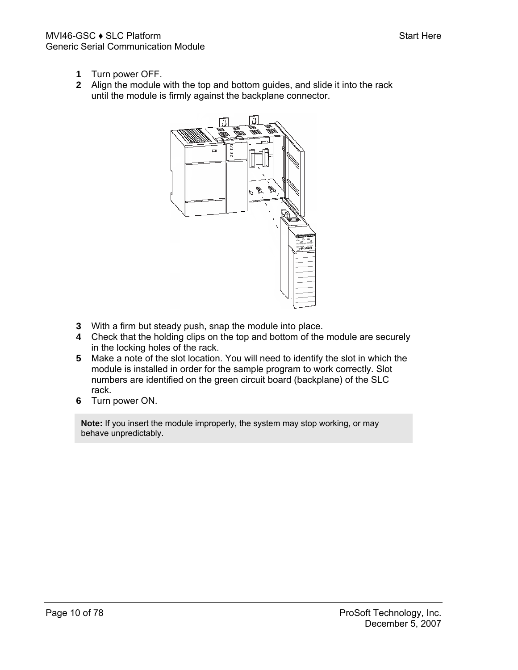- **1** Turn power OFF.
- **2** Align the module with the top and bottom guides, and slide it into the rack until the module is firmly against the backplane connector.



- **3** With a firm but steady push, snap the module into place.
- **4** Check that the holding clips on the top and bottom of the module are securely in the locking holes of the rack.
- **5** Make a note of the slot location. You will need to identify the slot in which the module is installed in order for the sample program to work correctly. Slot numbers are identified on the green circuit board (backplane) of the SLC rack.
- **6** Turn power ON.

**Note:** If you insert the module improperly, the system may stop working, or may behave unpredictably.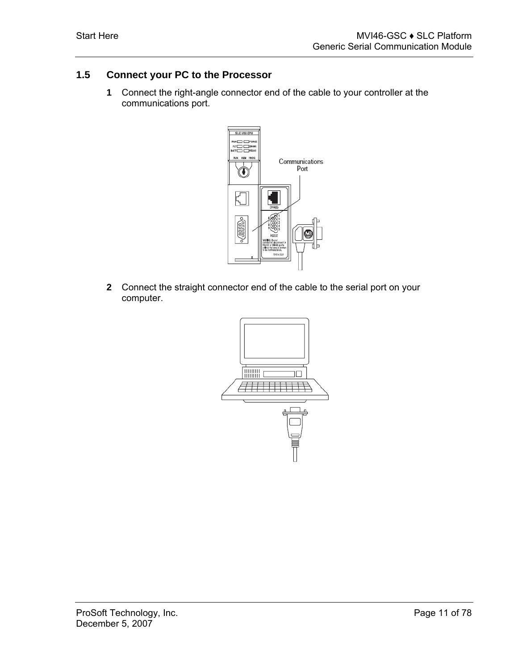# **1.5 Connect your PC to the Processor**

<span id="page-10-0"></span>**1** Connect the right-angle connector end of the cable to your controller at the communications port.



**2** Connect the straight connector end of the cable to the serial port on your computer.

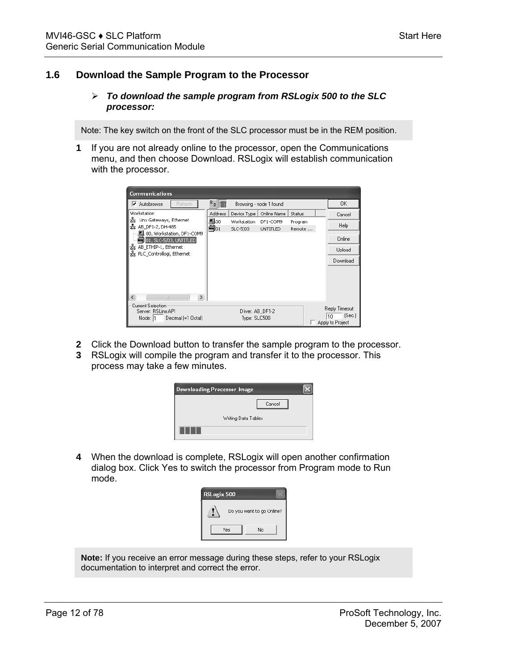### **1.6 Download the Sample Program to the Processor**

#### <span id="page-11-0"></span>¾ *To download the sample program from RSLogix 500 to the SLC processor:*

Note: The key switch on the front of the SLC processor must be in the REM position.

**1** If you are not already online to the processor, open the Communications menu, and then choose Download. RSLogix will establish communication with the processor.



- **2** Click the Download button to transfer the sample program to the processor.
- **3** RSLogix will compile the program and transfer it to the processor. This process may take a few minutes.

| <b>Downloading Processor Image</b> |  |
|------------------------------------|--|
| Cancel                             |  |
| Writing Data Tables                |  |
|                                    |  |

**4** When the download is complete, RSLogix will open another confirmation dialog box. Click Yes to switch the processor from Program mode to Run mode.

| RSLogix 500 |                           |  |
|-------------|---------------------------|--|
|             | Do you want to go Online? |  |
|             | Yes<br>No                 |  |

**Note:** If you receive an error message during these steps, refer to your RSLogix documentation to interpret and correct the error.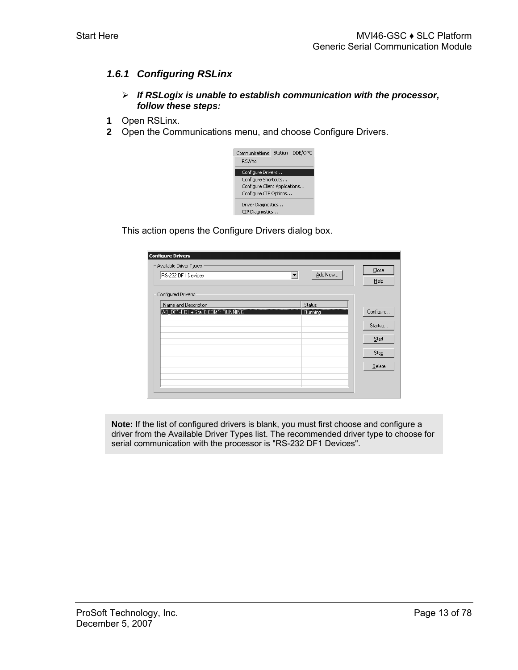## *1.6.1 Configuring RSLinx*

- <span id="page-12-0"></span>¾ *If RSLogix is unable to establish communication with the processor, follow these steps:*
- **1** Open RSLinx.
- **2** Open the Communications menu, and choose Configure Drivers.



This action opens the Configure Drivers dialog box.

| <b>Configure Drivers</b>                                  |           |
|-----------------------------------------------------------|-----------|
| Available Driver Types:                                   | Close     |
| Add New<br>RS-232 DF1 Devices<br>$\overline{\phantom{a}}$ |           |
|                                                           | Help      |
| Configured Drivers:                                       |           |
| Name and Description<br>Status                            |           |
| AB_DF1-1 DH+ Sta: 0 COM1: RUNNING<br>Running              | Configure |
|                                                           | Startup   |
|                                                           |           |
|                                                           | Start     |
|                                                           | Stop      |
|                                                           | Delete    |
|                                                           |           |
|                                                           |           |
|                                                           |           |

**Note:** If the list of configured drivers is blank, you must first choose and configure a driver from the Available Driver Types list. The recommended driver type to choose for serial communication with the processor is "RS-232 DF1 Devices".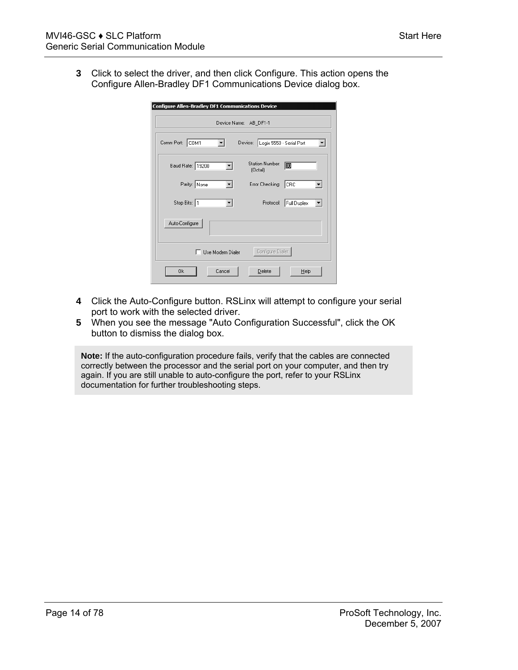**3** Click to select the driver, and then click Configure. This action opens the Configure Allen-Bradley DF1 Communications Device dialog box.

| <b>Configure Allen-Bradley DF1 Communications Device</b>  |
|-----------------------------------------------------------|
| Device Name: AB_DF1-1                                     |
| Device: Logix 5550 - Serial Port<br>Comm Port: COM1       |
| Station Number:<br>₪<br>Baud Rate: 19200<br>$[0$ ctal $]$ |
| Parity: None<br>Error Checking:<br>∥CRC                   |
| Stop Bits: 1<br>Full Duplex<br>Protocol:                  |
| Auto-Configure                                            |
| Configure Dialer<br>Use Modem Dialer                      |
| Cancel<br>0k<br>Delete<br>Help                            |

- **4** Click the Auto-Configure button. RSLinx will attempt to configure your serial port to work with the selected driver.
- **5** When you see the message "Auto Configuration Successful", click the OK button to dismiss the dialog box.

**Note:** If the auto-configuration procedure fails, verify that the cables are connected correctly between the processor and the serial port on your computer, and then try again. If you are still unable to auto-configure the port, refer to your RSLinx documentation for further troubleshooting steps.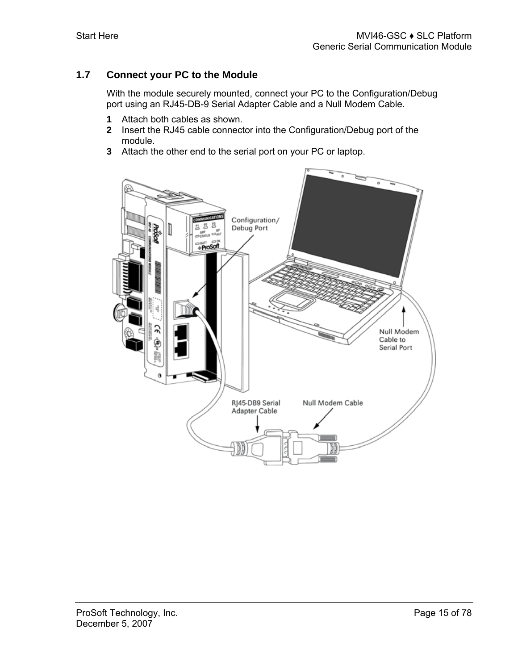## **1.7 Connect your PC to the Module**

<span id="page-14-0"></span>With the module securely mounted, connect your PC to the Configuration/Debug port using an RJ45-DB-9 Serial Adapter Cable and a Null Modem Cable.

- **1** Attach both cables as shown.
- **2** Insert the RJ45 cable connector into the Configuration/Debug port of the module.
- **3** Attach the other end to the serial port on your PC or laptop.

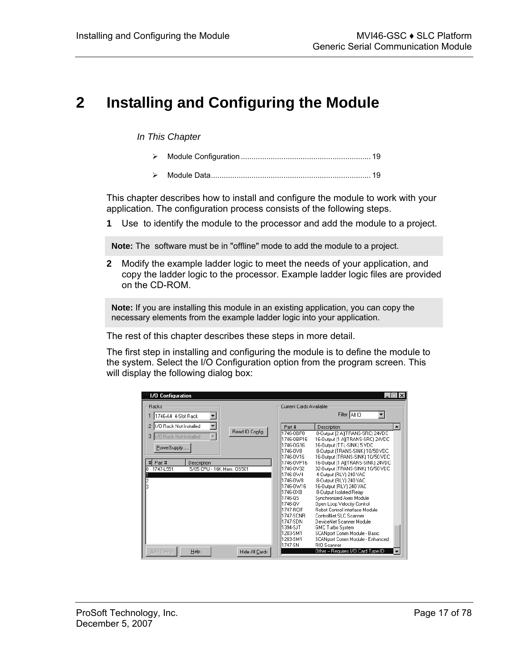# <span id="page-16-0"></span>**2 Installing and Configuring the Module**

#### *In This Chapter*

- ▶ <b>Module Configuration</b>
- ¾ [Module Data.](#page-18-1).......................................................................... [19](#page-18-1)

This chapter describes how to install and configure the module to work with your application. The configuration process consists of the following steps.

**1** Use to identify the module to the processor and add the module to a project.

**Note:** The software must be in "offline" mode to add the module to a project.

**2** Modify the example ladder logic to meet the needs of your application, and copy the ladder logic to the processor. Example ladder logic files are provided on the CD-ROM.

**Note:** If you are installing this module in an existing application, you can copy the necessary elements from the example ladder logic into your application.

The rest of this chapter describes these steps in more detail.

The first step in installing and configuring the module is to define the module to the system. Select the I/O Configuration option from the program screen. This will display the following dialog box:

| <b>1/0 Configuration</b>                                                  |                         | $\mathbf{x}$                                                        |
|---------------------------------------------------------------------------|-------------------------|---------------------------------------------------------------------|
| <b>Backs</b>                                                              | Current Cards Available |                                                                     |
| 1746-A4 4-Slot Rack                                                       |                         | Filter All IO                                                       |
| 170 Rack Not Installed                                                    | Part #                  | $\blacktriangle$<br>Description                                     |
| Read IO Config.<br>$\overline{\mathbf{v}}$<br>3<br>170 Rack Not Installed | 1746-0BP8<br>1746-0BP16 | 8-Dutput [2 A](TRANS-SRC) 24VDC<br>16-Dutput [1 A][TRANS-SRC] 24VDC |
|                                                                           | 1746-0616               | 16-Output (TTL-SINK) 5 VDC                                          |
| PowerSupply                                                               | 1746-0V8                | 8-Dutput (TRANS-SINK) 10/50 VDC                                     |
|                                                                           | 1746-0V16               | 16-Output (TRANS-SINK) 10/50 VDC                                    |
| # Part #<br>Description                                                   | 1746-0VP16              | 16-Dutput [1 A][TRANS-SINK] 24VDC                                   |
| 5/05 CPU - 16K Mem. 0S501<br>1747-1551<br>n                               | 1746-0V32               | 32-Output (TRANS-SINK) 10/50 VDC                                    |
|                                                                           | 1746-0W4                | 4-Output (RLY) 240 VAC                                              |
| 2                                                                         | 1746-0W8                | 8-Output (RLY) 240 VAC                                              |
| ą                                                                         | 1746-0W16               | 16-Output (RLY) 240 VAC                                             |
|                                                                           | 1746-0X8                | 8-Output Isolated Relay                                             |
|                                                                           | 1746-QS                 | Synchronized Axes Module                                            |
|                                                                           | 1746-QV                 | Open Loop Velocity Control                                          |
|                                                                           | 1747-RCIF               | Bobot Control Interface Module                                      |
|                                                                           | 1747-SCNR               | ControlNet SLC Scanner                                              |
|                                                                           | 1747-SDN                | DeviceNet Scanner Module                                            |
|                                                                           | 1394-SJT                | <b>GMC Turbo System</b>                                             |
|                                                                           | 1203-SM1                | SCANport Comm Module - Basic                                        |
|                                                                           | 1203-SM1                | SCANport Comm Module - Enhanced                                     |
|                                                                           | 1747-SN                 | <b>RIO</b> Scanner                                                  |
| Adv Config<br>Help<br>Hide All Cards                                      |                         | Other -- Requires I/O Card Type ID                                  |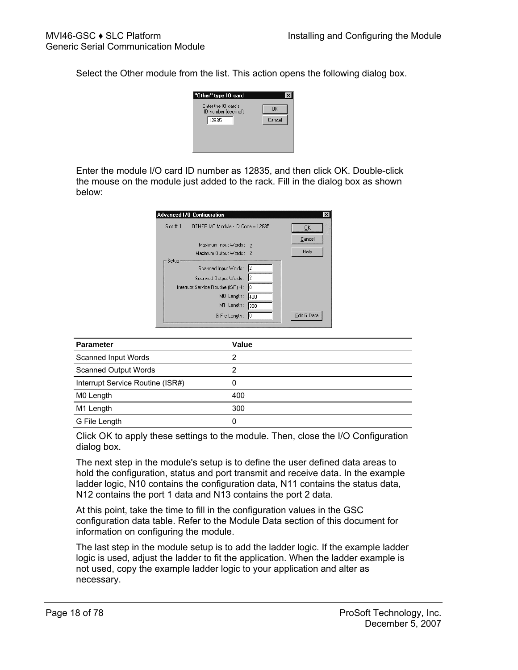Select the Other module from the list. This action opens the following dialog box.



Enter the module I/O card ID number as 12835, and then click OK. Double-click the mouse on the module just added to the rack. Fill in the dialog box as shown below:

| $Slot$ #:1<br>OTHER 1/0 Module - ID Code = 12835                                                                                                                                 |                |
|----------------------------------------------------------------------------------------------------------------------------------------------------------------------------------|----------------|
|                                                                                                                                                                                  | ŪK             |
| Maximum Input Words: 2<br>Maximum Output Words: 2                                                                                                                                | Cancel<br>Help |
| Setup<br>12<br>Scanned Input Words:<br>l2<br>Scanned Output Words:<br>Iо<br>Interrupt Service Routine (ISR) #:<br>MO Length:<br>400<br>M1 Length:<br>300<br>G File Length:<br>I٥ | Edit G Data    |

| <b>Parameter</b>                 | Value |
|----------------------------------|-------|
|                                  |       |
| Scanned Input Words              | ົ     |
| <b>Scanned Output Words</b>      |       |
| Interrupt Service Routine (ISR#) |       |
| M0 Length                        | 400   |
| M1 Length                        | 300   |
| G File Length                    |       |

Click OK to apply these settings to the module. Then, close the I/O Configuration dialog box.

The next step in the module's setup is to define the user defined data areas to hold the configuration, status and port transmit and receive data. In the example ladder logic, N10 contains the configuration data, N11 contains the status data, N12 contains the port 1 data and N13 contains the port 2 data.

At this point, take the time to fill in the configuration values in the GSC configuration data table. Refer to the Module Data section of this document for information on configuring the module.

The last step in the module setup is to add the ladder logic. If the example ladder logic is used, adjust the ladder to fit the application. When the ladder example is not used, copy the example ladder logic to your application and alter as necessary.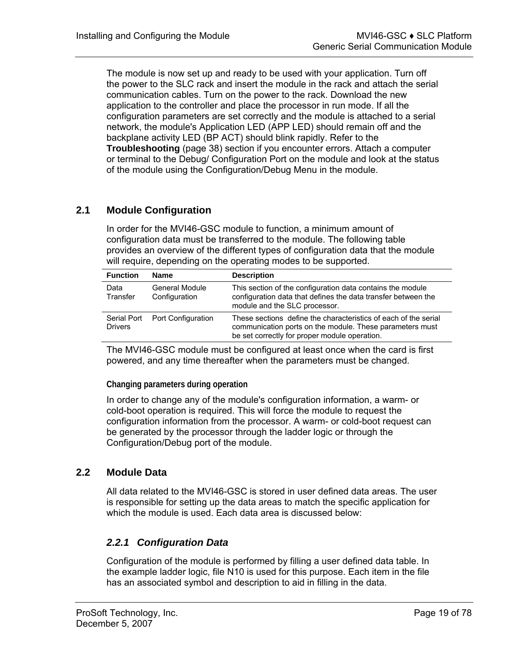The module is now set up and ready to be used with your application. Turn off the power to the SLC rack and insert the module in the rack and attach the serial communication cables. Turn on the power to the rack. Download the new application to the controller and place the processor in run mode. If all the configuration parameters are set correctly and the module is attached to a serial network, the module's Application LED (APP LED) should remain off and the backplane activity LED (BP ACT) should blink rapidly. Refer to the **Troubleshooting** (page [38\)](#page-37-1) section if you encounter errors. Attach a computer or terminal to the Debug/ Configuration Port on the module and look at the status of the module using the Configuration/Debug Menu in the module.

# **2.1 Module Configuration**

<span id="page-18-0"></span>In order for the MVI46-GSC module to function, a minimum amount of configuration data must be transferred to the module. The following table provides an overview of the different types of configuration data that the module will require, depending on the operating modes to be supported.

| <b>Function</b>               | <b>Name</b>                     | <b>Description</b>                                                                                                                                                           |
|-------------------------------|---------------------------------|------------------------------------------------------------------------------------------------------------------------------------------------------------------------------|
| Data<br>Transfer              | General Module<br>Configuration | This section of the configuration data contains the module<br>configuration data that defines the data transfer between the<br>module and the SLC processor.                 |
| Serial Port<br><b>Drivers</b> | Port Configuration              | These sections define the characteristics of each of the serial<br>communication ports on the module. These parameters must<br>be set correctly for proper module operation. |

The MVI46-GSC module must be configured at least once when the card is first powered, and any time thereafter when the parameters must be changed.

**Changing parameters during operation** 

In order to change any of the module's configuration information, a warm- or cold-boot operation is required. This will force the module to request the configuration information from the processor. A warm- or cold-boot request can be generated by the processor through the ladder logic or through the Configuration/Debug port of the module.

# **2.2 Module Data**

<span id="page-18-1"></span>All data related to the MVI46-GSC is stored in user defined data areas. The user is responsible for setting up the data areas to match the specific application for which the module is used. Each data area is discussed below:

# <span id="page-18-2"></span>*2.2.1 Configuration Data*

Configuration of the module is performed by filling a user defined data table. In the example ladder logic, file N10 is used for this purpose. Each item in the file has an associated symbol and description to aid in filling in the data.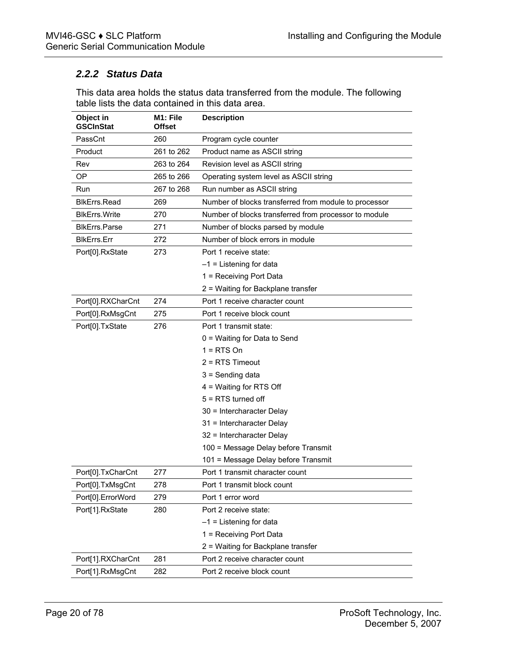# <span id="page-19-0"></span>*2.2.2 Status Data*

This data area holds the status data transferred from the module. The following table lists the data contained in this data area.

| Object in<br><b>GSCInStat</b> | M1: File<br><b>Offset</b> | <b>Description</b>                                    |
|-------------------------------|---------------------------|-------------------------------------------------------|
| PassCnt                       | 260                       | Program cycle counter                                 |
| Product                       | 261 to 262                | Product name as ASCII string                          |
| Rev                           | 263 to 264                | Revision level as ASCII string                        |
| <b>OP</b>                     | 265 to 266                | Operating system level as ASCII string                |
| Run                           | 267 to 268                | Run number as ASCII string                            |
| <b>BlkErrs.Read</b>           | 269                       | Number of blocks transferred from module to processor |
| <b>BIkErrs. Write</b>         | 270                       | Number of blocks transferred from processor to module |
| <b>BlkErrs.Parse</b>          | 271                       | Number of blocks parsed by module                     |
| <b>BIkErrs.Err</b>            | 272                       | Number of block errors in module                      |
| Port[0].RxState               | 273                       | Port 1 receive state:                                 |
|                               |                           | $-1$ = Listening for data                             |
|                               |                           | 1 = Receiving Port Data                               |
|                               |                           | 2 = Waiting for Backplane transfer                    |
| Port[0].RXCharCnt             | 274                       | Port 1 receive character count                        |
| Port[0].RxMsgCnt              | 275                       | Port 1 receive block count                            |
| Port[0].TxState               | 276                       | Port 1 transmit state:                                |
|                               |                           | 0 = Waiting for Data to Send                          |
|                               |                           | $1 = RTS$ On                                          |
|                               |                           | $2 = RTS$ Timeout                                     |
|                               |                           | 3 = Sending data                                      |
|                               |                           | 4 = Waiting for RTS Off                               |
|                               |                           | $5 = RTS$ turned off                                  |
|                               |                           | 30 = Intercharacter Delay                             |
|                               |                           | 31 = Intercharacter Delay                             |
|                               |                           | 32 = Intercharacter Delay                             |
|                               |                           | 100 = Message Delay before Transmit                   |
|                               |                           | 101 = Message Delay before Transmit                   |
| Port[0].TxCharCnt             | 277                       | Port 1 transmit character count                       |
| Port[0].TxMsgCnt              | 278                       | Port 1 transmit block count                           |
| Port[0].ErrorWord             | 279                       | Port 1 error word                                     |
| Port[1].RxState               | 280                       | Port 2 receive state:                                 |
|                               |                           | $-1$ = Listening for data                             |
|                               |                           | 1 = Receiving Port Data                               |
|                               |                           | 2 = Waiting for Backplane transfer                    |
| Port[1].RXCharCnt             | 281                       | Port 2 receive character count                        |
| Port[1].RxMsgCnt              | 282                       | Port 2 receive block count                            |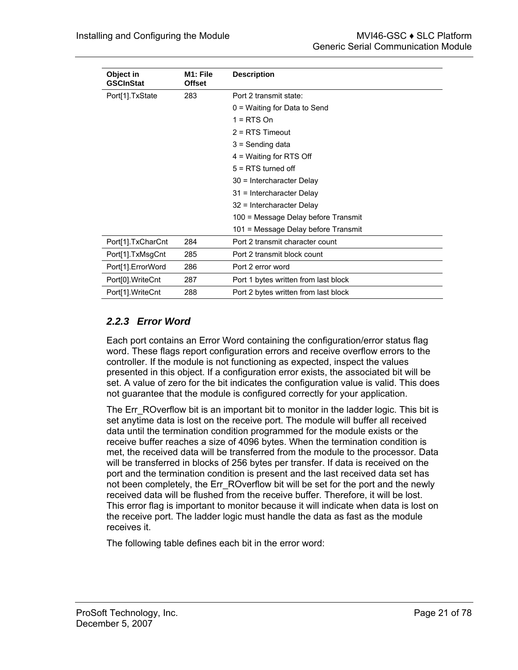| Object in<br><b>GSCInStat</b> | M <sub>1</sub> : File<br><b>Offset</b> | <b>Description</b>                   |
|-------------------------------|----------------------------------------|--------------------------------------|
| Port[1].TxState               | 283                                    | Port 2 transmit state:               |
|                               |                                        | $0 =$ Waiting for Data to Send       |
|                               |                                        | $1 = RTS$ On                         |
|                               |                                        | $2 = RTS$ Timeout                    |
|                               |                                        | $3 =$ Sending data                   |
|                               |                                        | $4$ = Waiting for RTS Off            |
|                               |                                        | $5 = RTS$ turned off                 |
|                               |                                        | 30 = Intercharacter Delay            |
|                               |                                        | 31 = Intercharacter Delay            |
|                               |                                        | 32 = Intercharacter Delay            |
|                               |                                        | 100 = Message Delay before Transmit  |
|                               |                                        | 101 = Message Delay before Transmit  |
| Port[1].TxCharCnt             | 284                                    | Port 2 transmit character count      |
| Port[1].TxMsgCnt              | 285                                    | Port 2 transmit block count          |
| Port[1].ErrorWord             | 286                                    | Port 2 error word                    |
| Port[0].WriteCnt              | 287                                    | Port 1 bytes written from last block |
| Port[1].WriteCnt              | 288                                    | Port 2 bytes written from last block |

# <span id="page-20-0"></span>*2.2.3 Error Word*

Each port contains an Error Word containing the configuration/error status flag word. These flags report configuration errors and receive overflow errors to the controller. If the module is not functioning as expected, inspect the values presented in this object. If a configuration error exists, the associated bit will be set. A value of zero for the bit indicates the configuration value is valid. This does not guarantee that the module is configured correctly for your application.

The Err\_ROverflow bit is an important bit to monitor in the ladder logic. This bit is set anytime data is lost on the receive port. The module will buffer all received data until the termination condition programmed for the module exists or the receive buffer reaches a size of 4096 bytes. When the termination condition is met, the received data will be transferred from the module to the processor. Data will be transferred in blocks of 256 bytes per transfer. If data is received on the port and the termination condition is present and the last received data set has not been completely, the Err ROverflow bit will be set for the port and the newly received data will be flushed from the receive buffer. Therefore, it will be lost. This error flag is important to monitor because it will indicate when data is lost on the receive port. The ladder logic must handle the data as fast as the module receives it.

The following table defines each bit in the error word: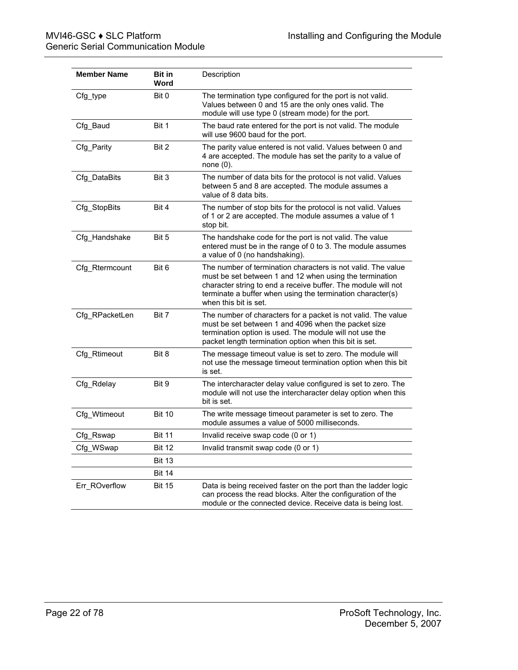| <b>Member Name</b> | <b>Bit in</b><br>Word | Description                                                                                                                                                                                                                                                                     |
|--------------------|-----------------------|---------------------------------------------------------------------------------------------------------------------------------------------------------------------------------------------------------------------------------------------------------------------------------|
| Cfg_type           | Bit 0                 | The termination type configured for the port is not valid.<br>Values between 0 and 15 are the only ones valid. The<br>module will use type 0 (stream mode) for the port.                                                                                                        |
| Cfg_Baud           | Bit 1                 | The baud rate entered for the port is not valid. The module<br>will use 9600 baud for the port.                                                                                                                                                                                 |
| Cfg Parity         | Bit 2                 | The parity value entered is not valid. Values between 0 and<br>4 are accepted. The module has set the parity to a value of<br>none $(0)$ .                                                                                                                                      |
| Cfg_DataBits       | Bit 3                 | The number of data bits for the protocol is not valid. Values<br>between 5 and 8 are accepted. The module assumes a<br>value of 8 data bits.                                                                                                                                    |
| Cfg_StopBits       | Bit 4                 | The number of stop bits for the protocol is not valid. Values<br>of 1 or 2 are accepted. The module assumes a value of 1<br>stop bit.                                                                                                                                           |
| Cfg_Handshake      | Bit 5                 | The handshake code for the port is not valid. The value<br>entered must be in the range of 0 to 3. The module assumes<br>a value of 0 (no handshaking).                                                                                                                         |
| Cfg_Rtermcount     | Bit 6                 | The number of termination characters is not valid. The value<br>must be set between 1 and 12 when using the termination<br>character string to end a receive buffer. The module will not<br>terminate a buffer when using the termination character(s)<br>when this bit is set. |
| Cfg RPacketLen     | Bit 7                 | The number of characters for a packet is not valid. The value<br>must be set between 1 and 4096 when the packet size<br>termination option is used. The module will not use the<br>packet length termination option when this bit is set.                                       |
| Cfg_Rtimeout       | Bit 8                 | The message timeout value is set to zero. The module will<br>not use the message timeout termination option when this bit<br>is set.                                                                                                                                            |
| Cfg_Rdelay         | Bit 9                 | The intercharacter delay value configured is set to zero. The<br>module will not use the intercharacter delay option when this<br>bit is set.                                                                                                                                   |
| Cfg Wtimeout       | <b>Bit 10</b>         | The write message timeout parameter is set to zero. The<br>module assumes a value of 5000 milliseconds.                                                                                                                                                                         |
| Cfg_Rswap          | <b>Bit 11</b>         | Invalid receive swap code (0 or 1)                                                                                                                                                                                                                                              |
| Cfg_WSwap          | <b>Bit 12</b>         | Invalid transmit swap code (0 or 1)                                                                                                                                                                                                                                             |
|                    | <b>Bit 13</b>         |                                                                                                                                                                                                                                                                                 |
|                    | <b>Bit 14</b>         |                                                                                                                                                                                                                                                                                 |
| Err ROverflow      | <b>Bit 15</b>         | Data is being received faster on the port than the ladder logic<br>can process the read blocks. Alter the configuration of the<br>module or the connected device. Receive data is being lost.                                                                                   |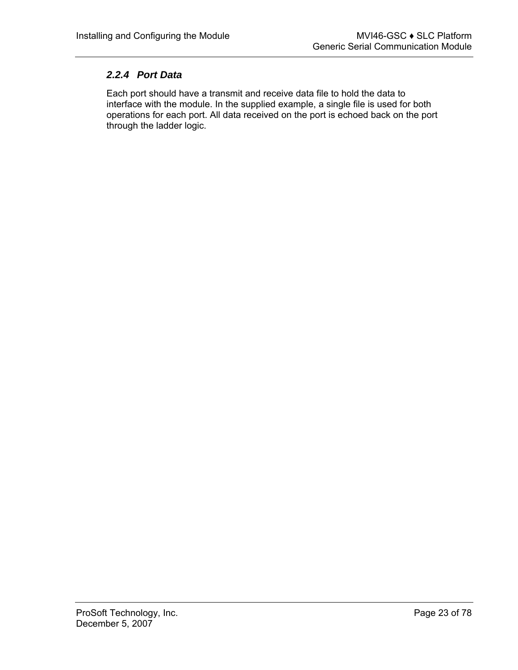## <span id="page-22-0"></span>*2.2.4 Port Data*

Each port should have a transmit and receive data file to hold the data to interface with the module. In the supplied example, a single file is used for both operations for each port. All data received on the port is echoed back on the port through the ladder logic.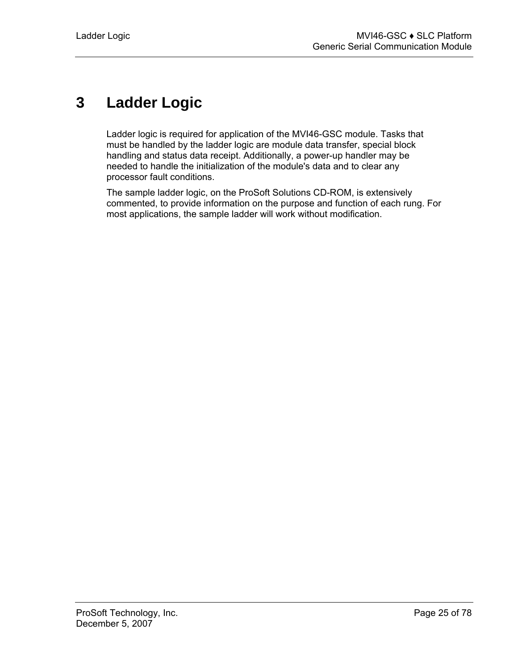# <span id="page-24-0"></span>**3 Ladder Logic**

Ladder logic is required for application of the MVI46-GSC module. Tasks that must be handled by the ladder logic are module data transfer, special block handling and status data receipt. Additionally, a power-up handler may be needed to handle the initialization of the module's data and to clear any processor fault conditions.

The sample ladder logic, on the ProSoft Solutions CD-ROM, is extensively commented, to provide information on the purpose and function of each rung. For most applications, the sample ladder will work without modification.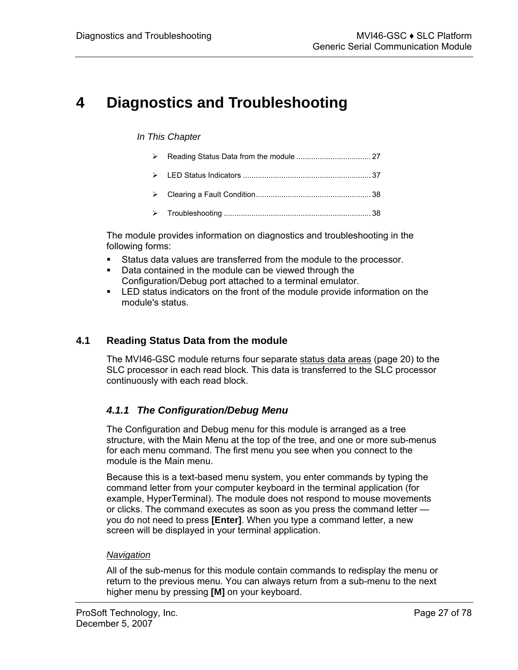# <span id="page-26-0"></span>**4 Diagnostics and Troubleshooting**

### *In This Chapter*

- ¾ [Reading Status Data from the module](#page-26-1) ................................... [27](#page-26-1)
- ¾ [LED Status Indicators](#page-36-0) ............................................................ [37](#page-36-0)  ¾ [Clearing a Fault Condition..](#page-37-0).................................................... [38](#page-37-0)
- ¾ [Troubleshooting](#page-37-1) ..................................................................... [38](#page-37-1)

The module provides information on diagnostics and troubleshooting in the following forms:

- Status data values are transferred from the module to the processor.
- Data contained in the module can be viewed through the Configuration/Debug port attached to a terminal emulator.
- LED status indicators on the front of the module provide information on the module's status.

## **4.1 Reading Status Data from the module**

<span id="page-26-1"></span>The MVI46-GSC module returns four separate status data areas (page [20\)](#page-19-0) to the SLC processor in each read block. This data is transferred to the SLC processor continuously with each read block.

# <span id="page-26-2"></span>*4.1.1 The Configuration/Debug Menu*

The Configuration and Debug menu for this module is arranged as a tree structure, with the Main Menu at the top of the tree, and one or more sub-menus for each menu command. The first menu you see when you connect to the module is the Main menu.

Because this is a text-based menu system, you enter commands by typing the command letter from your computer keyboard in the terminal application (for example, HyperTerminal). The module does not respond to mouse movements or clicks. The command executes as soon as you press the command letter you do not need to press **[Enter]**. When you type a command letter, a new screen will be displayed in your terminal application.

## *Navigation*

All of the sub-menus for this module contain commands to redisplay the menu or return to the previous menu. You can always return from a sub-menu to the next higher menu by pressing **[M]** on your keyboard.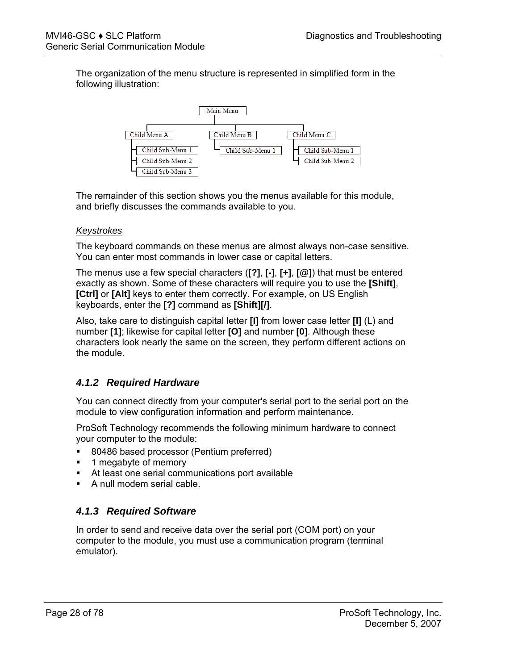The organization of the menu structure is represented in simplified form in the following illustration:



The remainder of this section shows you the menus available for this module, and briefly discusses the commands available to you.

### *Keystrokes*

The keyboard commands on these menus are almost always non-case sensitive. You can enter most commands in lower case or capital letters.

The menus use a few special characters (**[?]**, **[-]**, **[+]**, **[@]**) that must be entered exactly as shown. Some of these characters will require you to use the **[Shift]**, **[Ctrl]** or **[Alt]** keys to enter them correctly. For example, on US English keyboards, enter the **[?]** command as **[Shift][/]**.

Also, take care to distinguish capital letter **[I]** from lower case letter **[l]** (L) and number **[1]**; likewise for capital letter **[O]** and number **[0]**. Although these characters look nearly the same on the screen, they perform different actions on the module.

# <span id="page-27-0"></span>*4.1.2 Required Hardware*

You can connect directly from your computer's serial port to the serial port on the module to view configuration information and perform maintenance.

ProSoft Technology recommends the following minimum hardware to connect your computer to the module:

- **80486 based processor (Pentium preferred)**
- **1** megabyte of memory
- At least one serial communications port available
- A null modem serial cable.

# <span id="page-27-1"></span>*4.1.3 Required Software*

In order to send and receive data over the serial port (COM port) on your computer to the module, you must use a communication program (terminal emulator).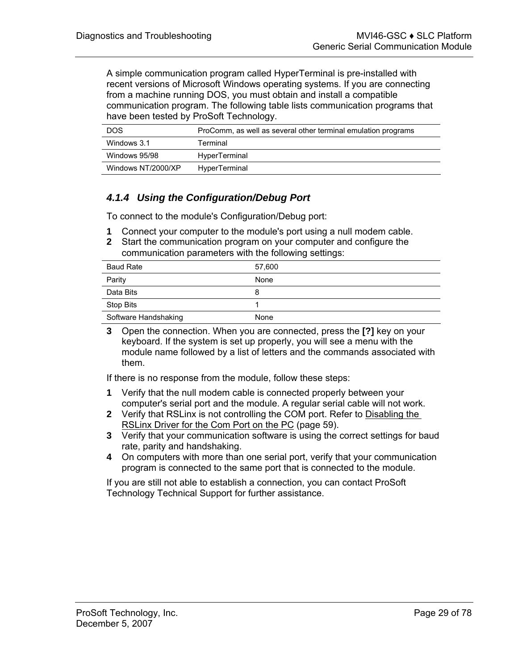A simple communication program called HyperTerminal is pre-installed with recent versions of Microsoft Windows operating systems. If you are connecting from a machine running DOS, you must obtain and install a compatible communication program. The following table lists communication programs that have been tested by ProSoft Technology.

| <b>DOS</b>         | ProComm, as well as several other terminal emulation programs |
|--------------------|---------------------------------------------------------------|
| Windows 3.1        | Terminal                                                      |
| Windows 95/98      | HyperTerminal                                                 |
| Windows NT/2000/XP | HyperTerminal                                                 |

# <span id="page-28-0"></span>*4.1.4 Using the Configuration/Debug Port*

To connect to the module's Configuration/Debug port:

- **1** Connect your computer to the module's port using a null modem cable.
- **2** Start the communication program on your computer and configure the communication parameters with the following settings:

| <b>Baud Rate</b>     | 57,600 |
|----------------------|--------|
| Parity               | None   |
| Data Bits            | 8      |
| Stop Bits            |        |
| Software Handshaking | None   |

**3** Open the connection. When you are connected, press the **[?]** key on your keyboard. If the system is set up properly, you will see a menu with the module name followed by a list of letters and the commands associated with them.

If there is no response from the module, follow these steps:

- **1** Verify that the null modem cable is connected properly between your computer's serial port and the module. A regular serial cable will not work.
- **2** Verify that RSLinx is not controlling the COM port. Refer to Disabling the RSLinx Driver for the Com Port on the PC (page [59\)](#page-58-2).
- **3** Verify that your communication software is using the correct settings for baud rate, parity and handshaking.
- **4** On computers with more than one serial port, verify that your communication program is connected to the same port that is connected to the module.

If you are still not able to establish a connection, you can contact ProSoft Technology Technical Support for further assistance.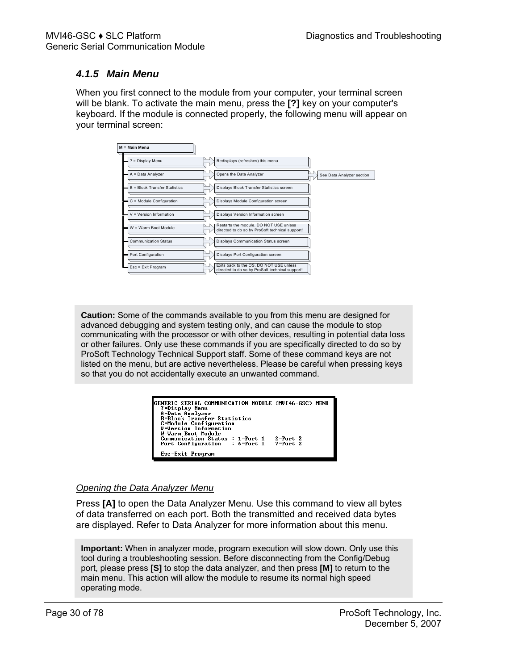## <span id="page-29-0"></span>*4.1.5 Main Menu*

When you first connect to the module from your computer, your terminal screen will be blank. To activate the main menu, press the **[?]** key on your computer's keyboard. If the module is connected properly, the following menu will appear on your terminal screen:



**Caution:** Some of the commands available to you from this menu are designed for advanced debugging and system testing only, and can cause the module to stop communicating with the processor or with other devices, resulting in potential data loss or other failures. Only use these commands if you are specifically directed to do so by ProSoft Technology Technical Support staff. Some of these command keys are not listed on the menu, but are active nevertheless. Please be careful when pressing keys so that you do not accidentally execute an unwanted command.

| GENERIC SERIAL COMMUNICATION MODULE (MUI46-GSC) MENU<br>?=Display Menu<br>A=Data Analyzer<br><b>B-Block Transfer Statistics</b> |              |
|---------------------------------------------------------------------------------------------------------------------------------|--------------|
| C=Module Configuration<br>U=Version Information<br>W=Warm Boot Module                                                           |              |
| Communication Status : 1=Port 1<br>$: 6 = Port 1 7 = Port 2$<br>Port Configuration                                              | $2 = Port 2$ |
| Esc=Exit Program                                                                                                                |              |

### *Opening the Data Analyzer Menu*

Press **[A]** to open the Data Analyzer Menu. Use this command to view all bytes of data transferred on each port. Both the transmitted and received data bytes are displayed. Refer to Data Analyzer for more information about this menu.

**Important:** When in analyzer mode, program execution will slow down. Only use this tool during a troubleshooting session. Before disconnecting from the Config/Debug port, please press **[S]** to stop the data analyzer, and then press **[M]** to return to the main menu. This action will allow the module to resume its normal high speed operating mode.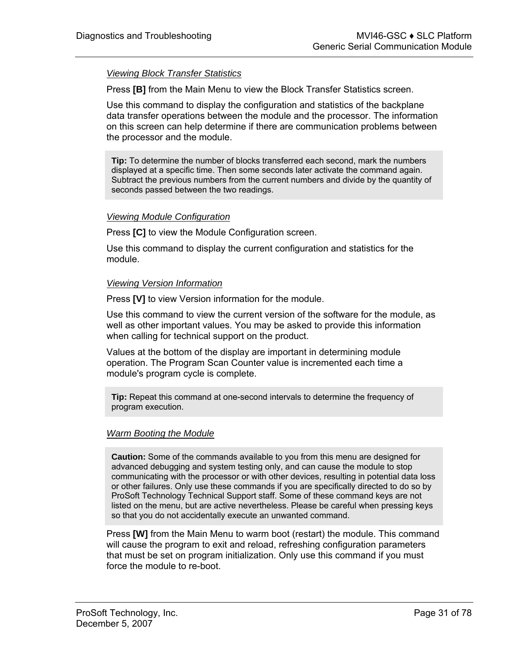### *Viewing Block Transfer Statistics*

Press **[B]** from the Main Menu to view the Block Transfer Statistics screen.

Use this command to display the configuration and statistics of the backplane data transfer operations between the module and the processor. The information on this screen can help determine if there are communication problems between the processor and the module.

**Tip:** To determine the number of blocks transferred each second, mark the numbers displayed at a specific time. Then some seconds later activate the command again. Subtract the previous numbers from the current numbers and divide by the quantity of seconds passed between the two readings.

#### *Viewing Module Configuration*

Press **[C]** to view the Module Configuration screen.

Use this command to display the current configuration and statistics for the module.

#### *Viewing Version Information*

Press **[V]** to view Version information for the module.

Use this command to view the current version of the software for the module, as well as other important values. You may be asked to provide this information when calling for technical support on the product.

Values at the bottom of the display are important in determining module operation. The Program Scan Counter value is incremented each time a module's program cycle is complete.

**Tip:** Repeat this command at one-second intervals to determine the frequency of program execution.

#### *Warm Booting the Module*

**Caution:** Some of the commands available to you from this menu are designed for advanced debugging and system testing only, and can cause the module to stop communicating with the processor or with other devices, resulting in potential data loss or other failures. Only use these commands if you are specifically directed to do so by ProSoft Technology Technical Support staff. Some of these command keys are not listed on the menu, but are active nevertheless. Please be careful when pressing keys so that you do not accidentally execute an unwanted command.

Press **[W]** from the Main Menu to warm boot (restart) the module. This command will cause the program to exit and reload, refreshing configuration parameters that must be set on program initialization. Only use this command if you must force the module to re-boot.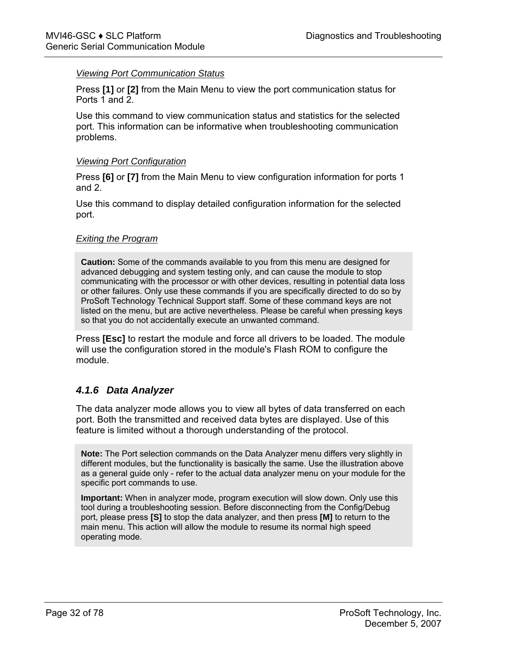#### *Viewing Port Communication Status*

Press **[1]** or **[2]** from the Main Menu to view the port communication status for Ports 1 and 2.

Use this command to view communication status and statistics for the selected port. This information can be informative when troubleshooting communication problems.

#### *Viewing Port Configuration*

Press **[6]** or **[7]** from the Main Menu to view configuration information for ports 1 and 2.

Use this command to display detailed configuration information for the selected port.

#### *Exiting the Program*

**Caution:** Some of the commands available to you from this menu are designed for advanced debugging and system testing only, and can cause the module to stop communicating with the processor or with other devices, resulting in potential data loss or other failures. Only use these commands if you are specifically directed to do so by ProSoft Technology Technical Support staff. Some of these command keys are not listed on the menu, but are active nevertheless. Please be careful when pressing keys so that you do not accidentally execute an unwanted command.

Press **[Esc]** to restart the module and force all drivers to be loaded. The module will use the configuration stored in the module's Flash ROM to configure the module.

## <span id="page-31-0"></span>*4.1.6 Data Analyzer*

The data analyzer mode allows you to view all bytes of data transferred on each port. Both the transmitted and received data bytes are displayed. Use of this feature is limited without a thorough understanding of the protocol.

**Note:** The Port selection commands on the Data Analyzer menu differs very slightly in different modules, but the functionality is basically the same. Use the illustration above as a general guide only - refer to the actual data analyzer menu on your module for the specific port commands to use.

**Important:** When in analyzer mode, program execution will slow down. Only use this tool during a troubleshooting session. Before disconnecting from the Config/Debug port, please press **[S]** to stop the data analyzer, and then press **[M]** to return to the main menu. This action will allow the module to resume its normal high speed operating mode.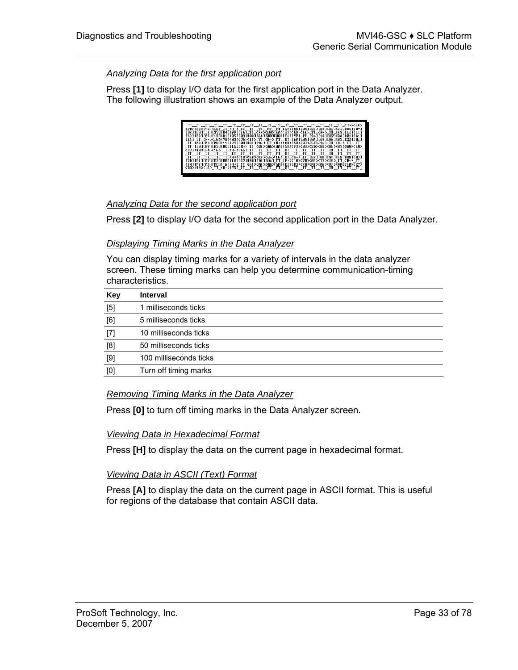### *Analyzing Data for the first application port*

Press **[1]** to display I/O data for the first application port in the Data Analyzer. The following illustration shows an example of the Data Analyzer output.

| <7B><03><7E><16> II <r-> II -II -II -II -II IG81C0A1C0A1C681(281C2D1C011C071</r->                                                                                                  |  |
|------------------------------------------------------------------------------------------------------------------------------------------------------------------------------------|--|
| 0031000101111222100410221061106110736353645368535555555655101108-510010810011041                                                                                                   |  |
| 0681081083161018118110831083108016430830881066107P1_02-1010108710810811841<br>0.1201081171 12.482 0812 0822 0832 084 084 085 084 085 084 085 086 087 088 089 089 089 089 089 089 0 |  |
| _TT_THATEN3 1EMM31E1 1 E223E M43E823E16 1_TT_ <r+>&lt;1H&gt;&lt;5H&gt;<m3>&lt;5H&gt;&lt;16 &gt;_TT_<r->_TT__TT_</r-></m3></r+>                                                     |  |
| _TT_[18][89][82][BC][16]{R+}_TT_{68}{BA}{BA}{BB}{@3}{B3}{BD}{B1}{86}{B8}{B8}{B8}}                                                                                                  |  |
| <u>{2?}\{80}\{&amp;{}\{\&amp;}_II_{R-}I{}}LII_II_II_II_II_II_II_II_II_II_II_II</u>                                                                                                 |  |
|                                                                                                                                                                                    |  |
| _TT__TT__TT__TT__TT_ <r+>&lt;10&gt;&lt;5B&gt;&lt;03&gt;&lt;5E&gt;&lt;16&gt;_TT_<r->_TT_{68 ][00 ][001][68][083][083][03</r-></r+>                                                  |  |
| E2D1E01JE07JE03JE001E10JE27JE80JEPAJE16J TT <r+>&lt;10&gt;&lt;7B&gt;&lt;03&gt;&lt;7E&gt;&lt;16&gt; TT <r-> TT</r-></r+>                                                            |  |
| ILLULLUP ILUS LUDGILLU 6 1KR+>_IT_K68>(DA)KVAA>(68)KD3)(D3)(2D>(D1)KD6)KD3)(R0)KD80)KLD>(27)                                                                                       |  |
|                                                                                                                                                                                    |  |

### *Analyzing Data for the second application port*

Press **[2]** to display I/O data for the second application port in the Data Analyzer.

### *Displaying Timing Marks in the Data Analyzer*

You can display timing marks for a variety of intervals in the data analyzer screen. These timing marks can help you determine communication-timing characteristics.

| Key   | <b>Interval</b>        |
|-------|------------------------|
| $[5]$ | 1 milliseconds ticks   |
| [6]   | 5 milliseconds ticks   |
| $[7]$ | 10 milliseconds ticks  |
| [8]   | 50 milliseconds ticks  |
| $[9]$ | 100 milliseconds ticks |
| [0]   | Turn off timing marks  |

## *Removing Timing Marks in the Data Analyzer*

Press **[0]** to turn off timing marks in the Data Analyzer screen.

### *Viewing Data in Hexadecimal Format*

Press **[H]** to display the data on the current page in hexadecimal format.

## *Viewing Data in ASCII (Text) Format*

Press **[A]** to display the data on the current page in ASCII format. This is useful for regions of the database that contain ASCII data.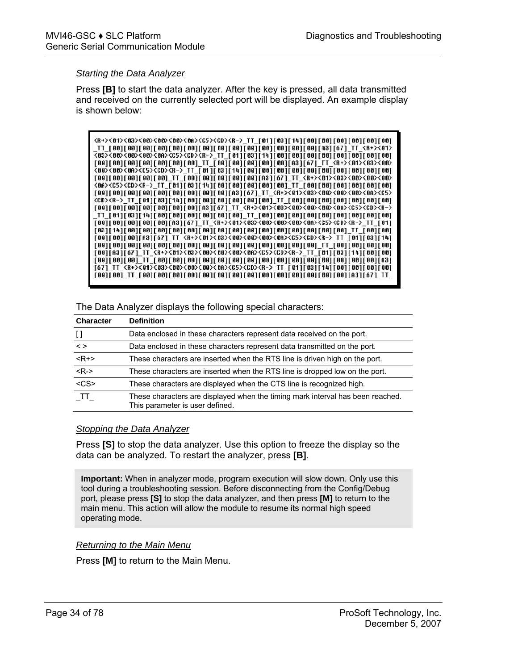#### *Starting the Data Analyzer*

Press **[B]** to start the data analyzer. After the key is pressed, all data transmitted and received on the currently selected port will be displayed. An example display is shown below:

| {R+}{01}{03}{08}}\$08}{08}{08}{08}{08}{08}{08}}{08}[08][08][08][08][08][08][08]                                                                      |
|------------------------------------------------------------------------------------------------------------------------------------------------------|
|                                                                                                                                                      |
| <03><00><00><00><00><06>><0>> <cd><f-> TT [01][03][14][08][00][00][00][00][00][00][00][0</f-></cd>                                                   |
| [00][00][00][00][00][00][00][00]_TT_[00][00][00][00][00][A3][67]_TT_ <r+>&lt;01&gt;&lt;03&gt;&lt;00&gt;</r+>                                         |
|                                                                                                                                                      |
| [00][00][00][00][00]_TT_[00][00][00][00][00][A3][67]_TT_ <r+>&lt;01&gt;&lt;03&gt;&lt;00&gt;&lt;00&gt;&lt;00&gt;</r+>                                 |
| <8A> <c5><cd><r->_TT_[81][83][14][88][88][88][88][88]_TT_[88][88][88][88][88][88]</r-></cd></c5>                                                     |
|                                                                                                                                                      |
| <cd><r-> TT [81][83][14][88][88][88][88][88][88][88] TT [88][88][88][88][88][88][88]</r-></cd>                                                       |
| [00][00][00][00][00][00][00][00][43][67]_TT_ <r+>&lt;01&gt;&lt;03&gt;&lt;00&gt;&lt;00&gt;&lt;00&gt;&lt;04&gt;<c5><cd><r-></r-></cd></c5></r+>        |
| TT [01][03][14][00][00][00][00][00][00][00] TT [00][00][00][00][00][00][00][00][00]                                                                  |
| [00][00][00][00][00][00][A3][67]_TT_ <r+>&lt;01&gt;&lt;03&gt;&lt;00&gt;&lt;00&gt;&lt;00&gt;&lt;01+&lt;05&gt;<c5><cd><r->_TT_[01]</r-></cd></c5></r+> |
|                                                                                                                                                      |
| [00][00][00][A3][67]_TT_ <r+>&lt;01&gt;&lt;03&gt;&lt;00&gt;&lt;00&gt;&lt;0A&gt;<c5><cd><r->_TT_[01][03][14]</r-></cd></c5></r+>                      |
|                                                                                                                                                      |
| [00][A3][67]_TT_ <r+>&lt;01&gt;&lt;03&gt;&lt;00&gt;&lt;00&gt;&lt;00&gt;&lt;0A&gt;<c5><cd><r->_TT_[01][03][14][00][00]</r-></cd></c5></r+>            |
|                                                                                                                                                      |
| [67] TT <r+>&lt;01&gt;&lt;03&gt;&lt;00&gt;&lt;00&gt;&lt;00&gt;&lt;00&gt;<c5><cd><r-> TT [01][03][14][00][00][00][00]</r-></cd></c5></r+>             |
|                                                                                                                                                      |
|                                                                                                                                                      |

The Data Analyzer displays the following special characters:

| <b>Character</b>                       | <b>Definition</b>                                                                                                 |
|----------------------------------------|-------------------------------------------------------------------------------------------------------------------|
| $\begin{array}{c} \square \end{array}$ | Data enclosed in these characters represent data received on the port.                                            |
| $\leq$                                 | Data enclosed in these characters represent data transmitted on the port.                                         |
| $<$ R+>                                | These characters are inserted when the RTS line is driven high on the port.                                       |
| $<$ R->                                | These characters are inserted when the RTS line is dropped low on the port.                                       |
| $\overline{\text{css}}$                | These characters are displayed when the CTS line is recognized high.                                              |
| TT                                     | These characters are displayed when the timing mark interval has been reached.<br>This parameter is user defined. |

#### *Stopping the Data Analyzer*

Press **[S]** to stop the data analyzer. Use this option to freeze the display so the data can be analyzed. To restart the analyzer, press **[B]**.

**Important:** When in analyzer mode, program execution will slow down. Only use this tool during a troubleshooting session. Before disconnecting from the Config/Debug port, please press **[S]** to stop the data analyzer, and then press **[M]** to return to the main menu. This action will allow the module to resume its normal high speed operating mode.

### *Returning to the Main Menu*

Press **[M]** to return to the Main Menu.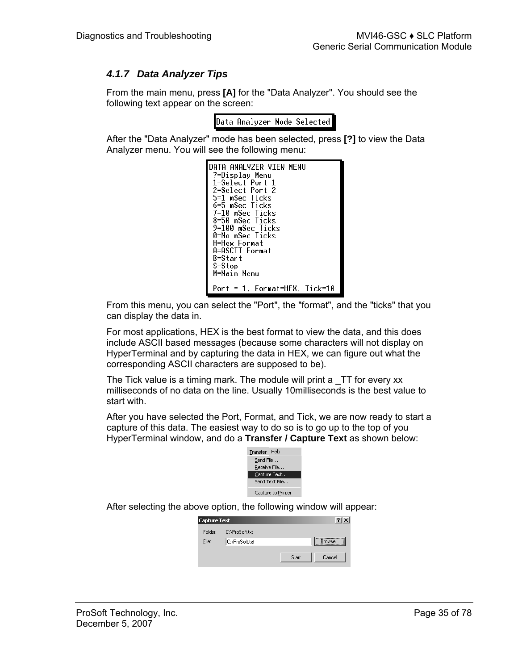# <span id="page-34-0"></span>*4.1.7 Data Analyzer Tips*

From the main menu, press **[A]** for the "Data Analyzer". You should see the following text appear on the screen:

Data Analyzer Mode Selected

After the "Data Analyzer" mode has been selected, press **[?]** to view the Data Analyzer menu. You will see the following menu:

| S=Stop<br>M=Main Menu |
|-----------------------|
|                       |

From this menu, you can select the "Port", the "format", and the "ticks" that you can display the data in.

For most applications, HEX is the best format to view the data, and this does include ASCII based messages (because some characters will not display on HyperTerminal and by capturing the data in HEX, we can figure out what the corresponding ASCII characters are supposed to be).

The Tick value is a timing mark. The module will print a \_TT for every xx milliseconds of no data on the line. Usually 10milliseconds is the best value to start with.

After you have selected the Port, Format, and Tick, we are now ready to start a capture of this data. The easiest way to do so is to go up to the top of you HyperTerminal window, and do a **Transfer / Capture Text** as shown below:



After selecting the above option, the following window will appear:

| <b>Capture Text</b> |                |       |         |
|---------------------|----------------|-------|---------|
| Folder:             | C:\ProSoft.txt |       |         |
| File:               | C:\ProSoft.txt |       | Browse. |
|                     |                | Start | Cancel  |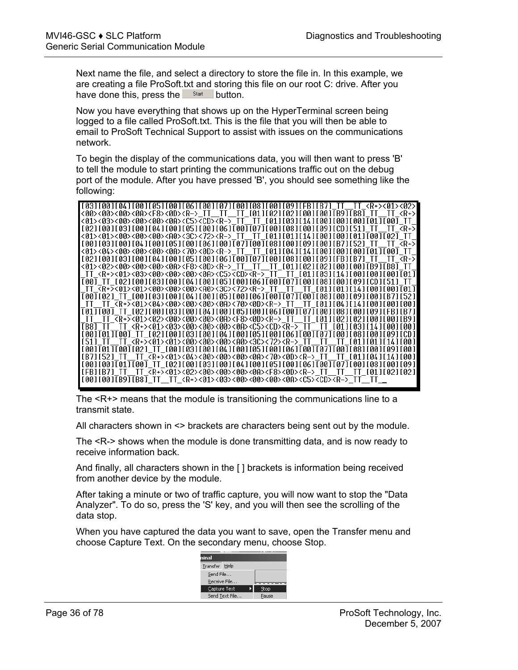Next name the file, and select a directory to store the file in. In this example, we are creating a file ProSoft.txt and storing this file on our root C: drive. After you have done this, press the  $\frac{\mathsf{Stat}}{\mathsf{b}}$  button.

Now you have everything that shows up on the HyperTerminal screen being logged to a file called ProSoft.txt. This is the file that you will then be able to email to ProSoft Technical Support to assist with issues on the communications network.

To begin the display of the communications data, you will then want to press 'B' to tell the module to start printing the communications traffic out on the debug port of the module. After you have pressed 'B', you should see something like the following:

| [03][00][04][00][05][05][06][06][00][07][00][08][00][09][FB][B7] TT TT <r+>&lt;01&gt;&lt;02&gt;</r+>                                                      |
|-----------------------------------------------------------------------------------------------------------------------------------------------------------|
| <00><00><00><00><0F> <f8>&lt;0D&gt;<r-> TT TT TT [01][02][02][00][00][B9][B8] TT TT <r+></r+></r-></f8>                                                   |
| <01><03><00><00><00><00><00+<01+<05> <cd><r->-TT_TT_T011[031[14][001[001[001[011[00]_TT</r-></cd>                                                         |
| $102110011031100110411001105110011061100110110011001100110911CDD11511_TT T^2+>$                                                                           |
|                                                                                                                                                           |
| [00][03][00][04][00][05][00][06][00][07][00][08][00][09][09][00][B7][52]_TT__TT_ <r+></r+>                                                                |
| <01><04><00><00><00><00><00><70><70><0D> <r-> TT TT [01][04][14][00][00][00][01][00] TT</r->                                                              |
| $[02] [00] [03] [00] [04] [00] [05] [00] [06] [00] [07] [00] [08] [00] [09] [FBI [B7] TTT TT \overline{R}+S$                                              |
| <01><02><00><00><00><00><00> <f8>&lt;0D&gt;<r->_TT__TT__TT__[01][02][02][00][00][B9][B8]_TT</r-></f8>                                                     |
| TT <r+>&lt;01&gt;&lt;03&gt;&lt;00&gt;&lt;00&gt;&lt;00&gt;&lt;00&gt;&lt;00&gt;<cd><r-> TT TT [01][03][14][00][00][00][01]</r-></cd></r+>                   |
| [00]_TT_[02][00][03][00][04][00][05][00][06][00][07][00][08][00][09][CD][51] TT                                                                           |
| _TT_ <r+>&lt;01&gt;&lt;01&gt;&lt;00&gt;&lt;00&gt;&lt;00&gt;&lt;00&gt;<a0>&lt;3C&gt;&lt;72&gt;<r->_TT__TT__TT__[01][01][14][00][00][01]</r-></a0></r+>     |
| [00][02] TT [00][03][00][04][00][05][00][06][00][07][00][08][00][09][00][B7][52]                                                                          |
| TT TT <r+>&lt;01&gt;&lt;04&gt;&lt;00&gt;&lt;00&gt;&lt;00&gt;&lt;00&gt;&lt;0A&gt;&lt;70&gt;&lt;0D&gt;<r-> TT TT [01][04][14][00][00][00]</r-></r+>         |
|                                                                                                                                                           |
| [01][00]_TT_[02][00][03][00][04][00][05][00][06][00][07][00][03][00][09][FB][B7]                                                                          |
| TT TT <r+>&lt;01&gt;&lt;00&gt;&lt;00&gt;&lt;00&gt;&lt;00&gt;&lt;00&gt;<f8>&lt;0D&gt;<r-> TT TT [01][02][02][00][00][B9]</r-></f8></r+>                    |
| [B8] TT _TT <r+>&lt;01&gt;&lt;03&gt;&lt;00&gt;&lt;00&gt;&lt;00&gt;&lt;0A&gt;<c5><cd><r->_TT _TT [01][03][14][00][00]</r-></cd></c5></r+>                  |
| [00][01][00] TT [02][00][03][00][04][00][05][00][06][00][07][00][08][00][09][CD]                                                                          |
| [51] II II <r+>&lt;01&gt;&lt;01&gt;&lt;00&gt;&lt;00&gt;&lt;00&gt;<a0>&lt;3C&gt;&lt;72&gt;<r->_II II II II {01][01][14][00]</r-></a0></r+>                 |
| [00][01][00][02]_TT_[00][03][00][04][00][05][00][06][00][07][00][08][00][09][00]                                                                          |
| [B7][52] TT _TT <r+>&lt;01&gt;&lt;04&gt;&lt;00&gt;&lt;00&gt;&lt;00&gt;&lt;00&gt;&lt;70&gt;&lt;70&gt;&lt;<d>&gt;<r->_TT _TT [01][04][14][00]</r-></d></r+> |
| [00][00][01][00]_TT_[02][00][03][00][04][00][05][00][06][00][07][00][08][00][09]                                                                          |
| [FB][B7] TT _TT <r+>&lt;01&gt;&lt;02&gt;&lt;00&gt;&lt;00&gt;&lt;00&gt;&lt;00&gt;&lt;68&gt;&lt;00&gt;<r->_TT _TT _TT [01][02][02]</r-></r+>                |
| [00][00][B9][B8] TT _TT <r+>&lt;01&gt;&lt;03&gt;&lt;00&gt;&lt;00&gt;&lt;00&gt;&lt;0A&gt;<c5><cd><r->_TT _TT _</r-></cd></c5></r+>                         |
|                                                                                                                                                           |

The  $\leq R$ +> means that the module is transitioning the communications line to a transmit state.

All characters shown in <> brackets are characters being sent out by the module.

The <R-> shows when the module is done transmitting data, and is now ready to receive information back.

And finally, all characters shown in the [ ] brackets is information being received from another device by the module.

After taking a minute or two of traffic capture, you will now want to stop the "Data Analyzer". To do so, press the 'S' key, and you will then see the scrolling of the data stop.

When you have captured the data you want to save, open the Transfer menu and choose Capture Text. On the secondary menu, choose Stop.

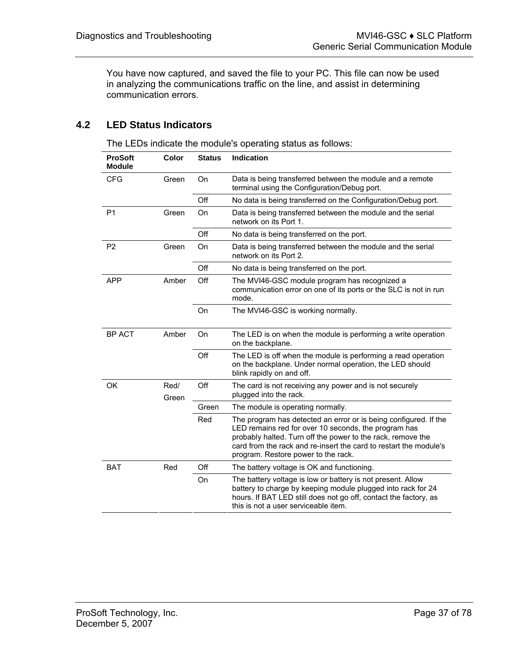You have now captured, and saved the file to your PC. This file can now be used in analyzing the communications traffic on the line, and assist in determining communication errors.

# **4.2 LED Status Indicators**

The LEDs indicate the module's operating status as follows:

| <b>ProSoft</b><br><b>Module</b> | <b>Color</b>  | <b>Status</b> | <b>Indication</b>                                                                                                                                                                                                                                                                                   |
|---------------------------------|---------------|---------------|-----------------------------------------------------------------------------------------------------------------------------------------------------------------------------------------------------------------------------------------------------------------------------------------------------|
| <b>CFG</b>                      | Green         | On            | Data is being transferred between the module and a remote<br>terminal using the Configuration/Debug port.                                                                                                                                                                                           |
|                                 |               | Off           | No data is being transferred on the Configuration/Debug port.                                                                                                                                                                                                                                       |
| P <sub>1</sub>                  | Green         | On            | Data is being transferred between the module and the serial<br>network on its Port 1.                                                                                                                                                                                                               |
|                                 |               | Off           | No data is being transferred on the port.                                                                                                                                                                                                                                                           |
| P <sub>2</sub>                  | Green         | On            | Data is being transferred between the module and the serial<br>network on its Port 2.                                                                                                                                                                                                               |
|                                 |               | Off           | No data is being transferred on the port.                                                                                                                                                                                                                                                           |
| <b>APP</b>                      | Amber         | Off           | The MVI46-GSC module program has recognized a<br>communication error on one of its ports or the SLC is not in run<br>mode.                                                                                                                                                                          |
|                                 |               | On            | The MVI46-GSC is working normally.                                                                                                                                                                                                                                                                  |
| <b>BP ACT</b>                   | Amber         | On            | The LED is on when the module is performing a write operation<br>on the backplane.                                                                                                                                                                                                                  |
|                                 |               | Off           | The LED is off when the module is performing a read operation<br>on the backplane. Under normal operation, the LED should<br>blink rapidly on and off.                                                                                                                                              |
| OK                              | Red/<br>Green | Off           | The card is not receiving any power and is not securely<br>plugged into the rack.                                                                                                                                                                                                                   |
|                                 |               | Green         | The module is operating normally.                                                                                                                                                                                                                                                                   |
|                                 |               | Red           | The program has detected an error or is being configured. If the<br>LED remains red for over 10 seconds, the program has<br>probably halted. Turn off the power to the rack, remove the<br>card from the rack and re-insert the card to restart the module's<br>program. Restore power to the rack. |
| <b>BAT</b>                      | Red           | Off           | The battery voltage is OK and functioning.                                                                                                                                                                                                                                                          |
|                                 |               | On            | The battery voltage is low or battery is not present. Allow<br>battery to charge by keeping module plugged into rack for 24<br>hours. If BAT LED still does not go off, contact the factory, as<br>this is not a user serviceable item.                                                             |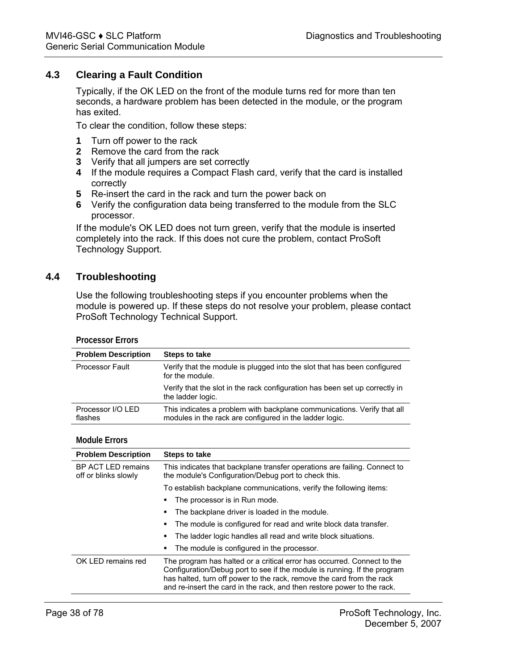# **4.3 Clearing a Fault Condition**

Typically, if the OK LED on the front of the module turns red for more than ten seconds, a hardware problem has been detected in the module, or the program has exited.

To clear the condition, follow these steps:

- **1** Turn off power to the rack
- **2** Remove the card from the rack
- **3** Verify that all jumpers are set correctly
- **4** If the module requires a Compact Flash card, verify that the card is installed correctly
- **5** Re-insert the card in the rack and turn the power back on
- **6** Verify the configuration data being transferred to the module from the SLC processor.

If the module's OK LED does not turn green, verify that the module is inserted completely into the rack. If this does not cure the problem, contact ProSoft Technology Support.

# **4.4 Troubleshooting**

**Processor Errors** 

Use the following troubleshooting steps if you encounter problems when the module is powered up. If these steps do not resolve your problem, please contact ProSoft Technology Technical Support.

| PIUCESSUL EIIUIS             |                                                                                                                                    |
|------------------------------|------------------------------------------------------------------------------------------------------------------------------------|
| <b>Problem Description</b>   | Steps to take                                                                                                                      |
| <b>Processor Fault</b>       | Verify that the module is plugged into the slot that has been configured<br>for the module.                                        |
|                              | Verify that the slot in the rack configuration has been set up correctly in<br>the ladder logic.                                   |
| Processor I/O LED<br>flashes | This indicates a problem with backplane communications. Verify that all<br>modules in the rack are configured in the ladder logic. |
|                              |                                                                                                                                    |

#### **Module Errors**

| <b>Problem Description</b>                 | Steps to take                                                                                                                                                                                                                                                                                           |
|--------------------------------------------|---------------------------------------------------------------------------------------------------------------------------------------------------------------------------------------------------------------------------------------------------------------------------------------------------------|
| BP ACT LED remains<br>off or blinks slowly | This indicates that backplane transfer operations are failing. Connect to<br>the module's Configuration/Debug port to check this.                                                                                                                                                                       |
|                                            | To establish backplane communications, verify the following items:                                                                                                                                                                                                                                      |
|                                            | The processor is in Run mode.<br>٠                                                                                                                                                                                                                                                                      |
|                                            | The backplane driver is loaded in the module.<br>٠                                                                                                                                                                                                                                                      |
|                                            | The module is configured for read and write block data transfer.<br>٠                                                                                                                                                                                                                                   |
|                                            | The ladder logic handles all read and write block situations.<br>٠                                                                                                                                                                                                                                      |
|                                            | The module is configured in the processor.<br>٠                                                                                                                                                                                                                                                         |
| OK LED remains red                         | The program has halted or a critical error has occurred. Connect to the<br>Configuration/Debug port to see if the module is running. If the program<br>has halted, turn off power to the rack, remove the card from the rack<br>and re-insert the card in the rack, and then restore power to the rack. |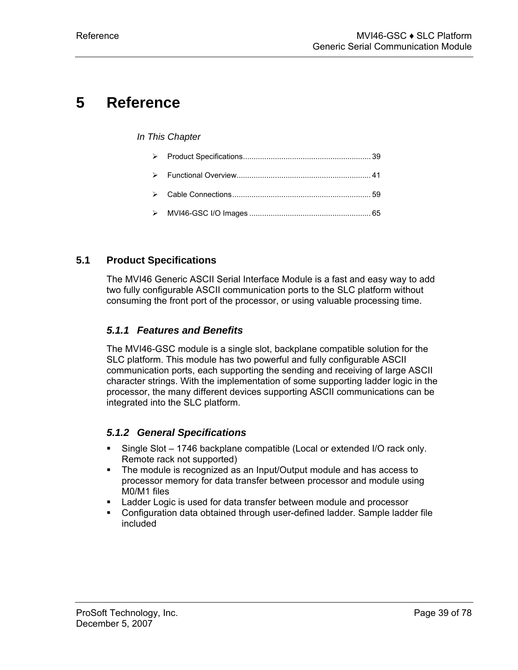# **5 Reference**

### *In This Chapter*

# **5.1 Product Specifications**

<span id="page-38-0"></span>The MVI46 Generic ASCII Serial Interface Module is a fast and easy way to add two fully configurable ASCII communication ports to the SLC platform without consuming the front port of the processor, or using valuable processing time.

# *5.1.1 Features and Benefits*

The MVI46-GSC module is a single slot, backplane compatible solution for the SLC platform. This module has two powerful and fully configurable ASCII communication ports, each supporting the sending and receiving of large ASCII character strings. With the implementation of some supporting ladder logic in the processor, the many different devices supporting ASCII communications can be integrated into the SLC platform.

# *5.1.2 General Specifications*

- Single Slot 1746 backplane compatible (Local or extended I/O rack only. Remote rack not supported)
- The module is recognized as an Input/Output module and has access to processor memory for data transfer between processor and module using M0/M1 files
- Ladder Logic is used for data transfer between module and processor
- Configuration data obtained through user-defined ladder. Sample ladder file included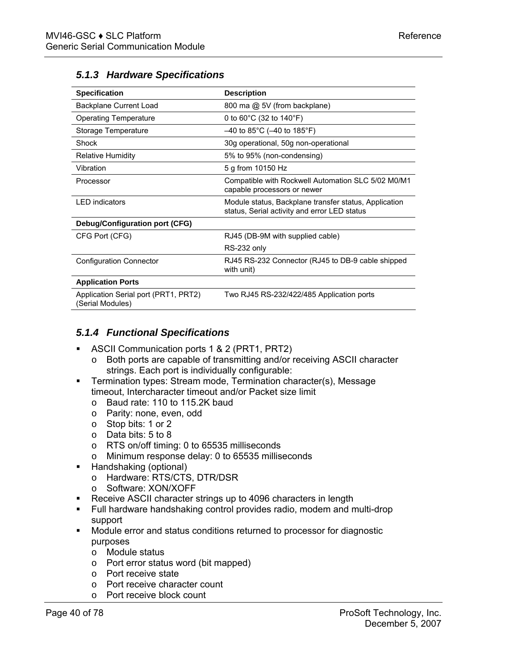| <b>Specification</b>                                     | <b>Description</b>                                                                                    |
|----------------------------------------------------------|-------------------------------------------------------------------------------------------------------|
| Backplane Current Load                                   | 800 ma @ 5V (from backplane)                                                                          |
| <b>Operating Temperature</b>                             | 0 to 60 $^{\circ}$ C (32 to 140 $^{\circ}$ F)                                                         |
| Storage Temperature                                      | $-40$ to 85°C ( $-40$ to 185°F)                                                                       |
| Shock                                                    | 30g operational, 50g non-operational                                                                  |
| <b>Relative Humidity</b>                                 | 5% to 95% (non-condensing)                                                                            |
| Vibration                                                | 5 g from 10150 Hz                                                                                     |
| Processor                                                | Compatible with Rockwell Automation SLC 5/02 M0/M1<br>capable processors or newer                     |
| <b>LED</b> indicators                                    | Module status, Backplane transfer status, Application<br>status, Serial activity and error LED status |
| Debug/Configuration port (CFG)                           |                                                                                                       |
| CFG Port (CFG)                                           | RJ45 (DB-9M with supplied cable)                                                                      |
|                                                          | RS-232 only                                                                                           |
| <b>Configuration Connector</b>                           | RJ45 RS-232 Connector (RJ45 to DB-9 cable shipped<br>with unit)                                       |
| <b>Application Ports</b>                                 |                                                                                                       |
| Application Serial port (PRT1, PRT2)<br>(Serial Modules) | Two RJ45 RS-232/422/485 Application ports                                                             |

# *5.1.3 Hardware Specifications*

# *5.1.4 Functional Specifications*

- ASCII Communication ports 1 & 2 (PRT1, PRT2)
	- o Both ports are capable of transmitting and/or receiving ASCII character strings. Each port is individually configurable:
- Termination types: Stream mode, Termination character(s), Message timeout, Intercharacter timeout and/or Packet size limit
	- o Baud rate: 110 to 115.2K baud
	- o Parity: none, even, odd
	- o Stop bits: 1 or 2
	- o Data bits: 5 to 8
	- o RTS on/off timing: 0 to 65535 milliseconds
	- o Minimum response delay: 0 to 65535 milliseconds
- **Handshaking (optional)** 
	- o Hardware: RTS/CTS, DTR/DSR
	- o Software: XON/XOFF
- **Receive ASCII character strings up to 4096 characters in length**
- Full hardware handshaking control provides radio, modem and multi-drop support
- Module error and status conditions returned to processor for diagnostic purposes
	- o Module status
	- o Port error status word (bit mapped)
	- o Port receive state
	- o Port receive character count
	- o Port receive block count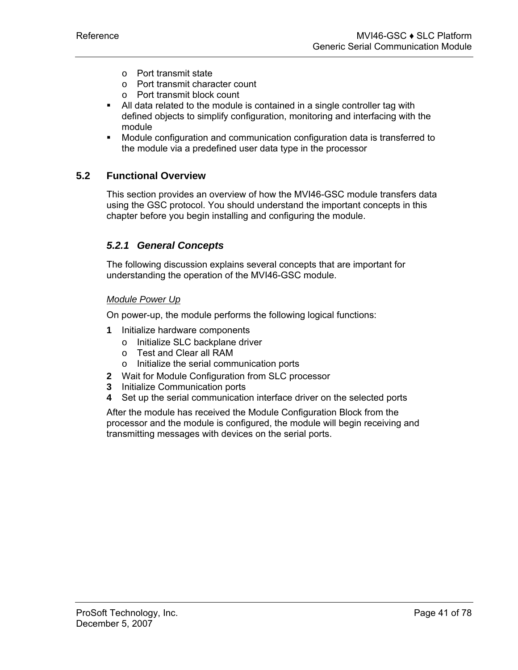- o Port transmit state
- o Port transmit character count
- o Port transmit block count
- All data related to the module is contained in a single controller tag with defined objects to simplify configuration, monitoring and interfacing with the module
- Module configuration and communication configuration data is transferred to the module via a predefined user data type in the processor

# **5.2 Functional Overview**

<span id="page-40-0"></span>This section provides an overview of how the MVI46-GSC module transfers data using the GSC protocol. You should understand the important concepts in this chapter before you begin installing and configuring the module.

# *5.2.1 General Concepts*

The following discussion explains several concepts that are important for understanding the operation of the MVI46-GSC module.

# *Module Power Up*

On power-up, the module performs the following logical functions:

- **1** Initialize hardware components
	- o Initialize SLC backplane driver
	- o Test and Clear all RAM
	- o Initialize the serial communication ports
- **2** Wait for Module Configuration from SLC processor
- **3** Initialize Communication ports
- **4** Set up the serial communication interface driver on the selected ports

After the module has received the Module Configuration Block from the processor and the module is configured, the module will begin receiving and transmitting messages with devices on the serial ports.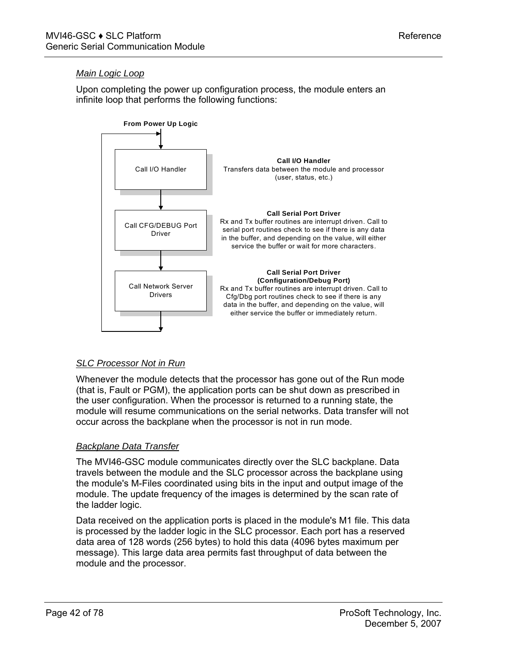# *Main Logic Loop*

Upon completing the power up configuration process, the module enters an infinite loop that performs the following functions:



# *SLC Processor Not in Run*

Whenever the module detects that the processor has gone out of the Run mode (that is, Fault or PGM), the application ports can be shut down as prescribed in the user configuration. When the processor is returned to a running state, the module will resume communications on the serial networks. Data transfer will not occur across the backplane when the processor is not in run mode.

# *Backplane Data Transfer*

The MVI46-GSC module communicates directly over the SLC backplane. Data travels between the module and the SLC processor across the backplane using the module's M-Files coordinated using bits in the input and output image of the module. The update frequency of the images is determined by the scan rate of the ladder logic.

Data received on the application ports is placed in the module's M1 file. This data is processed by the ladder logic in the SLC processor. Each port has a reserved data area of 128 words (256 bytes) to hold this data (4096 bytes maximum per message). This large data area permits fast throughput of data between the module and the processor.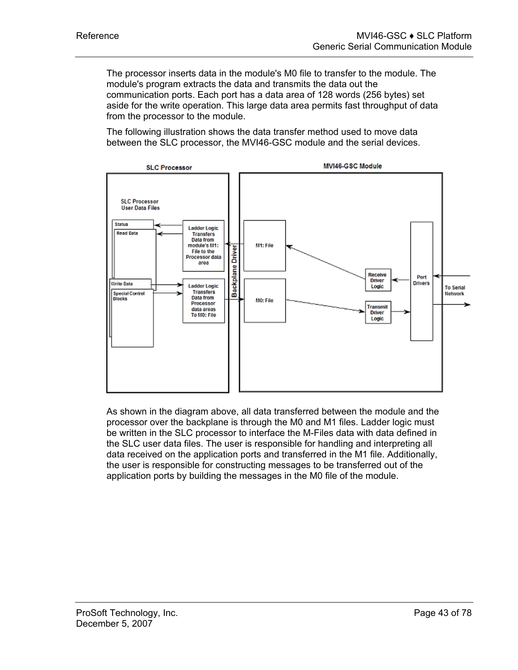The processor inserts data in the module's M0 file to transfer to the module. The module's program extracts the data and transmits the data out the communication ports. Each port has a data area of 128 words (256 bytes) set aside for the write operation. This large data area permits fast throughput of data from the processor to the module.

The following illustration shows the data transfer method used to move data between the SLC processor, the MVI46-GSC module and the serial devices.



As shown in the diagram above, all data transferred between the module and the processor over the backplane is through the M0 and M1 files. Ladder logic must be written in the SLC processor to interface the M-Files data with data defined in the SLC user data files. The user is responsible for handling and interpreting all data received on the application ports and transferred in the M1 file. Additionally, the user is responsible for constructing messages to be transferred out of the application ports by building the messages in the M0 file of the module.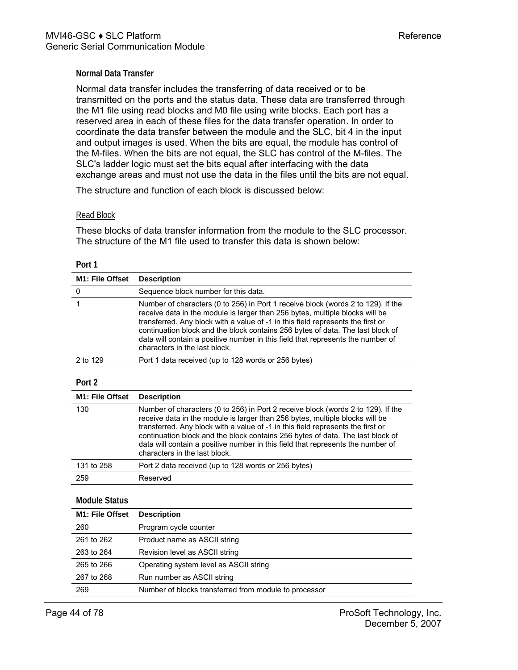#### **Normal Data Transfer**

Normal data transfer includes the transferring of data received or to be transmitted on the ports and the status data. These data are transferred through the M1 file using read blocks and M0 file using write blocks. Each port has a reserved area in each of these files for the data transfer operation. In order to coordinate the data transfer between the module and the SLC, bit 4 in the input and output images is used. When the bits are equal, the module has control of the M-files. When the bits are not equal, the SLC has control of the M-files. The SLC's ladder logic must set the bits equal after interfacing with the data exchange areas and must not use the data in the files until the bits are not equal.

The structure and function of each block is discussed below:

#### Read Block

These blocks of data transfer information from the module to the SLC processor. The structure of the M1 file used to transfer this data is shown below:

| M1: File Offset              | <b>Description</b>                                                                                                                                                                                                                                                                                                                                                                                                                                        |
|------------------------------|-----------------------------------------------------------------------------------------------------------------------------------------------------------------------------------------------------------------------------------------------------------------------------------------------------------------------------------------------------------------------------------------------------------------------------------------------------------|
| 0                            | Sequence block number for this data.                                                                                                                                                                                                                                                                                                                                                                                                                      |
| 1                            | Number of characters (0 to 256) in Port 1 receive block (words 2 to 129). If the<br>receive data in the module is larger than 256 bytes, multiple blocks will be<br>transferred. Any block with a value of -1 in this field represents the first or<br>continuation block and the block contains 256 bytes of data. The last block of<br>data will contain a positive number in this field that represents the number of<br>characters in the last block. |
| 2 to 129                     | Port 1 data received (up to 128 words or 256 bytes)                                                                                                                                                                                                                                                                                                                                                                                                       |
| Port 2                       |                                                                                                                                                                                                                                                                                                                                                                                                                                                           |
| M <sub>1</sub> : File Offset | <b>Description</b>                                                                                                                                                                                                                                                                                                                                                                                                                                        |
| 130                          | Number of characters (0 to 256) in Port 2 receive block (words 2 to 129). If the<br>receive data in the module is larger than 256 bytes, multiple blocks will be<br>transferred. Any block with a value of -1 in this field represents the first or<br>continuation block and the block contains 256 bytes of data. The last block of<br>data will contain a positive number in this field that represents the number of<br>characters in the last block. |
| 131 to 258                   | Port 2 data received (up to 128 words or 256 bytes)                                                                                                                                                                                                                                                                                                                                                                                                       |
| 259                          | Reserved                                                                                                                                                                                                                                                                                                                                                                                                                                                  |
|                              |                                                                                                                                                                                                                                                                                                                                                                                                                                                           |

# **Module Status**

| <b>M1: File Offset</b> | <b>Description</b>                                    |
|------------------------|-------------------------------------------------------|
| 260                    | Program cycle counter                                 |
| 261 to 262             | Product name as ASCII string                          |
| 263 to 264             | Revision level as ASCII string                        |
| 265 to 266             | Operating system level as ASCII string                |
| 267 to 268             | Run number as ASCII string                            |
| 269                    | Number of blocks transferred from module to processor |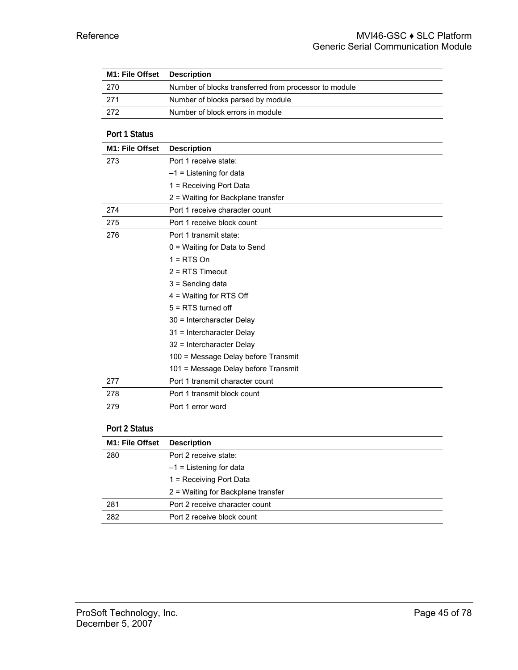| M1: File Offset        | <b>Description</b>                                    |
|------------------------|-------------------------------------------------------|
| 270                    | Number of blocks transferred from processor to module |
| 271                    | Number of blocks parsed by module                     |
| 272                    | Number of block errors in module                      |
|                        |                                                       |
| Port 1 Status          |                                                       |
| <b>M1: File Offset</b> | <b>Description</b>                                    |
| 273                    | Port 1 receive state:                                 |
|                        | $-1$ = Listening for data                             |
|                        | 1 = Receiving Port Data                               |
|                        | 2 = Waiting for Backplane transfer                    |
| 274                    | Port 1 receive character count                        |
| 275                    | Port 1 receive block count                            |
| 276                    | Port 1 transmit state:                                |
|                        | 0 = Waiting for Data to Send                          |
|                        | $1 = RTS$ On                                          |
|                        | $2 = RTS$ Timeout                                     |
|                        | $3 =$ Sending data                                    |
|                        | 4 = Waiting for RTS Off                               |
|                        | $5 = RTS$ turned off                                  |
|                        | 30 = Intercharacter Delay                             |
|                        | 31 = Intercharacter Delay                             |
|                        | 32 = Intercharacter Delay                             |
|                        | 100 = Message Delay before Transmit                   |
|                        | 101 = Message Delay before Transmit                   |
| 277                    | Port 1 transmit character count                       |
| 278                    | Port 1 transmit block count                           |
| 279                    | Port 1 error word                                     |
|                        |                                                       |
| Port 2 Status          |                                                       |
| M1: File Offset        | <b>Description</b>                                    |

| <b>M1: FIIE OTISET</b> | <b>Description</b>                 |
|------------------------|------------------------------------|
| 280                    | Port 2 receive state:              |
|                        | $-1$ = Listening for data          |
|                        | 1 = Receiving Port Data            |
|                        | 2 = Waiting for Backplane transfer |
| 281                    | Port 2 receive character count     |
| 282                    | Port 2 receive block count         |
|                        |                                    |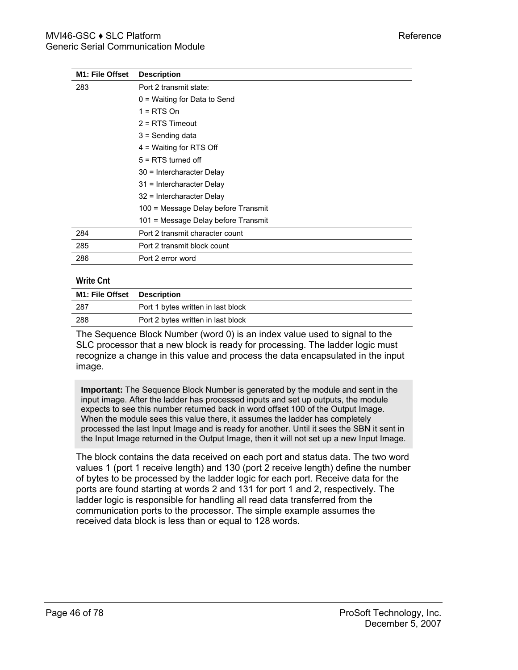| <b>M1: File Offset</b> | <b>Description</b>                  |
|------------------------|-------------------------------------|
| 283                    | Port 2 transmit state:              |
|                        | $0 =$ Waiting for Data to Send      |
|                        | $1 = RTS$ On                        |
|                        | $2 = RTS$ Timeout                   |
|                        | $3 =$ Sending data                  |
|                        | $4$ = Waiting for RTS Off           |
|                        | $5 = RTS$ furned off                |
|                        | $30$ = Intercharacter Delay         |
|                        | 31 = Intercharacter Delay           |
|                        | 32 = Intercharacter Delay           |
|                        | 100 = Message Delay before Transmit |
|                        | 101 = Message Delay before Transmit |
| 284                    | Port 2 transmit character count     |
| 285                    | Port 2 transmit block count         |
| 286                    | Port 2 error word                   |

#### **Write Cnt**

| <b>M1: File Offset Description</b> |                                    |
|------------------------------------|------------------------------------|
| - 287                              | Port 1 bytes written in last block |
| 288                                | Port 2 bytes written in last block |
|                                    |                                    |

The Sequence Block Number (word 0) is an index value used to signal to the SLC processor that a new block is ready for processing. The ladder logic must recognize a change in this value and process the data encapsulated in the input image.

**Important:** The Sequence Block Number is generated by the module and sent in the input image. After the ladder has processed inputs and set up outputs, the module expects to see this number returned back in word offset 100 of the Output Image. When the module sees this value there, it assumes the ladder has completely processed the last Input Image and is ready for another. Until it sees the SBN it sent in the Input Image returned in the Output Image, then it will not set up a new Input Image.

The block contains the data received on each port and status data. The two word values 1 (port 1 receive length) and 130 (port 2 receive length) define the number of bytes to be processed by the ladder logic for each port. Receive data for the ports are found starting at words 2 and 131 for port 1 and 2, respectively. The ladder logic is responsible for handling all read data transferred from the communication ports to the processor. The simple example assumes the received data block is less than or equal to 128 words.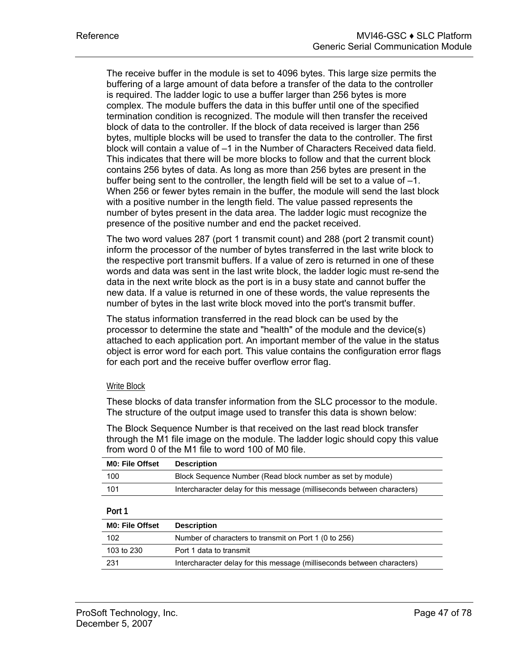The receive buffer in the module is set to 4096 bytes. This large size permits the buffering of a large amount of data before a transfer of the data to the controller is required. The ladder logic to use a buffer larger than 256 bytes is more complex. The module buffers the data in this buffer until one of the specified termination condition is recognized. The module will then transfer the received block of data to the controller. If the block of data received is larger than 256 bytes, multiple blocks will be used to transfer the data to the controller. The first block will contain a value of –1 in the Number of Characters Received data field. This indicates that there will be more blocks to follow and that the current block contains 256 bytes of data. As long as more than 256 bytes are present in the buffer being sent to the controller, the length field will be set to a value of –1. When 256 or fewer bytes remain in the buffer, the module will send the last block with a positive number in the length field. The value passed represents the number of bytes present in the data area. The ladder logic must recognize the presence of the positive number and end the packet received.

The two word values 287 (port 1 transmit count) and 288 (port 2 transmit count) inform the processor of the number of bytes transferred in the last write block to the respective port transmit buffers. If a value of zero is returned in one of these words and data was sent in the last write block, the ladder logic must re-send the data in the next write block as the port is in a busy state and cannot buffer the new data. If a value is returned in one of these words, the value represents the number of bytes in the last write block moved into the port's transmit buffer.

The status information transferred in the read block can be used by the processor to determine the state and "health" of the module and the device(s) attached to each application port. An important member of the value in the status object is error word for each port. This value contains the configuration error flags for each port and the receive buffer overflow error flag.

#### Write Block

These blocks of data transfer information from the SLC processor to the module. The structure of the output image used to transfer this data is shown below:

The Block Sequence Number is that received on the last read block transfer through the M1 file image on the module. The ladder logic should copy this value from word 0 of the M1 file to word 100 of M0 file.

| <b>MO: File Offset</b> | <b>Description</b>                                                      |
|------------------------|-------------------------------------------------------------------------|
| 100                    | Block Sequence Number (Read block number as set by module)              |
| 101                    | Intercharacter delay for this message (milliseconds between characters) |

#### **Port 1**

| <b>MO: File Offset</b> | <b>Description</b>                                                      |
|------------------------|-------------------------------------------------------------------------|
| 102                    | Number of characters to transmit on Port 1 (0 to 256)                   |
| 103 to 230             | Port 1 data to transmit                                                 |
| -231                   | Intercharacter delay for this message (milliseconds between characters) |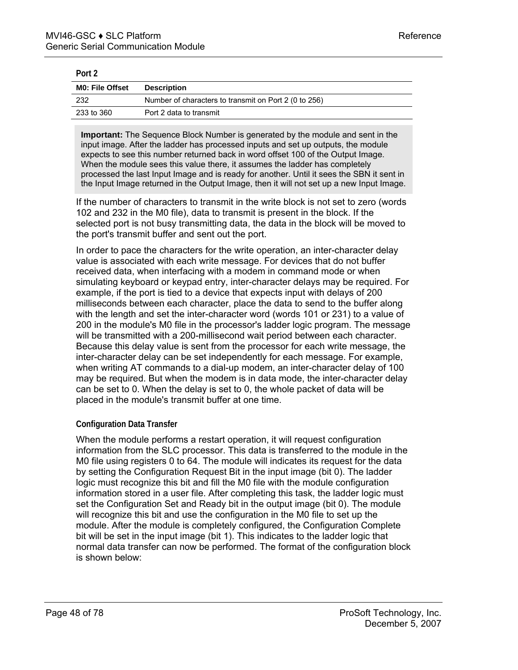| POIT 2                 |                                                       |
|------------------------|-------------------------------------------------------|
| <b>MO: File Offset</b> | <b>Description</b>                                    |
| - 232                  | Number of characters to transmit on Port 2 (0 to 256) |
| 233 to 360             | Port 2 data to transmit                               |

**Po** 

**Important:** The Sequence Block Number is generated by the module and sent in the input image. After the ladder has processed inputs and set up outputs, the module expects to see this number returned back in word offset 100 of the Output Image. When the module sees this value there, it assumes the ladder has completely processed the last Input Image and is ready for another. Until it sees the SBN it sent in the Input Image returned in the Output Image, then it will not set up a new Input Image.

If the number of characters to transmit in the write block is not set to zero (words 102 and 232 in the M0 file), data to transmit is present in the block. If the selected port is not busy transmitting data, the data in the block will be moved to the port's transmit buffer and sent out the port.

In order to pace the characters for the write operation, an inter-character delay value is associated with each write message. For devices that do not buffer received data, when interfacing with a modem in command mode or when simulating keyboard or keypad entry, inter-character delays may be required. For example, if the port is tied to a device that expects input with delays of 200 milliseconds between each character, place the data to send to the buffer along with the length and set the inter-character word (words 101 or 231) to a value of 200 in the module's M0 file in the processor's ladder logic program. The message will be transmitted with a 200-millisecond wait period between each character. Because this delay value is sent from the processor for each write message, the inter-character delay can be set independently for each message. For example, when writing AT commands to a dial-up modem, an inter-character delay of 100 may be required. But when the modem is in data mode, the inter-character delay can be set to 0. When the delay is set to 0, the whole packet of data will be placed in the module's transmit buffer at one time.

# **Configuration Data Transfer**

When the module performs a restart operation, it will request configuration information from the SLC processor. This data is transferred to the module in the M0 file using registers 0 to 64. The module will indicates its request for the data by setting the Configuration Request Bit in the input image (bit 0). The ladder logic must recognize this bit and fill the M0 file with the module configuration information stored in a user file. After completing this task, the ladder logic must set the Configuration Set and Ready bit in the output image (bit 0). The module will recognize this bit and use the configuration in the M0 file to set up the module. After the module is completely configured, the Configuration Complete bit will be set in the input image (bit 1). This indicates to the ladder logic that normal data transfer can now be performed. The format of the configuration block is shown below: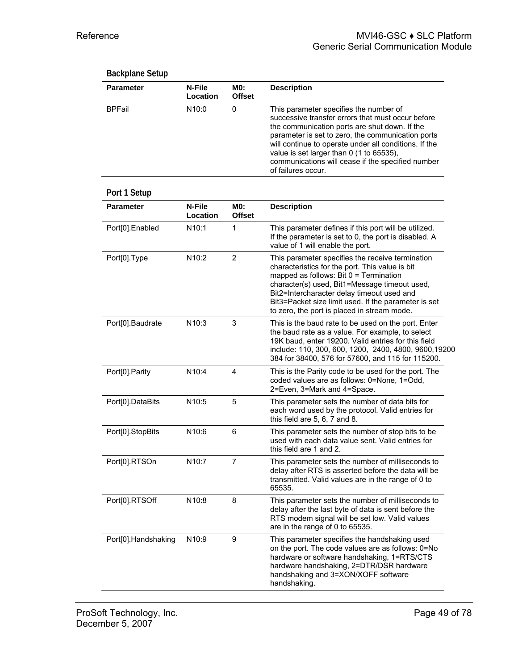| <b>Backplane Setup</b> |                    |                      |                                                                                                                                                                                                                                                                                                                                                                                   |
|------------------------|--------------------|----------------------|-----------------------------------------------------------------------------------------------------------------------------------------------------------------------------------------------------------------------------------------------------------------------------------------------------------------------------------------------------------------------------------|
| <b>Parameter</b>       | N-File<br>Location | MO:<br><b>Offset</b> | <b>Description</b>                                                                                                                                                                                                                                                                                                                                                                |
| <b>BPFail</b>          | N <sub>10:0</sub>  | 0                    | This parameter specifies the number of<br>successive transfer errors that must occur before<br>the communication ports are shut down. If the<br>parameter is set to zero, the communication ports<br>will continue to operate under all conditions. If the<br>value is set larger than 0 (1 to 65535),<br>communications will cease if the specified number<br>of failures occur. |
| Port 1 Setup           |                    |                      |                                                                                                                                                                                                                                                                                                                                                                                   |
| <b>Parameter</b>       | N-File<br>Location | MO:<br><b>Offset</b> | <b>Description</b>                                                                                                                                                                                                                                                                                                                                                                |
| Port[0].Enabled        | N10:1              | 1                    | This parameter defines if this port will be utilized.<br>If the parameter is set to 0, the port is disabled. A<br>value of 1 will enable the port.                                                                                                                                                                                                                                |
| Port[0].Type           | N10:2              | $\overline{2}$       | This parameter specifies the receive termination<br>characteristics for the port. This value is bit<br>mapped as follows: Bit $0 =$ Termination<br>character(s) used, Bit1=Message timeout used,<br>Bit2=Intercharacter delay timeout used and<br>Bit3=Packet size limit used. If the parameter is set<br>to zero, the port is placed in stream mode.                             |
| Port[0].Baudrate       | N10:3              | 3                    | This is the baud rate to be used on the port. Enter<br>the baud rate as a value. For example, to select<br>19K baud, enter 19200. Valid entries for this field<br>include: 110, 300, 600, 1200, 2400, 4800, 9600, 19200<br>384 for 38400, 576 for 57600, and 115 for 115200.                                                                                                      |
| Port[0].Parity         | N10:4              | 4                    | This is the Parity code to be used for the port. The<br>coded values are as follows: 0=None, 1=Odd,<br>2=Even, 3=Mark and 4=Space.                                                                                                                                                                                                                                                |
| Port[0].DataBits       | N10:5              | 5                    | This parameter sets the number of data bits for<br>each word used by the protocol. Valid entries for<br>this field are 5, 6, 7 and 8.                                                                                                                                                                                                                                             |
| Port[0].StopBits       | N10:6              | 6                    | This parameter sets the number of stop bits to be<br>used with each data value sent. Valid entries for<br>this field are 1 and 2.                                                                                                                                                                                                                                                 |
| Port[0].RTSOn          | N10:7              | 7                    | This parameter sets the number of milliseconds to<br>delay after RTS is asserted before the data will be<br>transmitted. Valid values are in the range of 0 to<br>65535.                                                                                                                                                                                                          |
| Port[0].RTSOff         | N <sub>10:8</sub>  | 8                    | This parameter sets the number of milliseconds to<br>delay after the last byte of data is sent before the<br>RTS modem signal will be set low. Valid values<br>are in the range of 0 to 65535.                                                                                                                                                                                    |
| Port[0].Handshaking    | N <sub>10:9</sub>  | 9                    | This parameter specifies the handshaking used<br>on the port. The code values are as follows: 0=No<br>hardware or software handshaking, 1=RTS/CTS<br>hardware handshaking, 2=DTR/DSR hardware<br>handshaking and 3=XON/XOFF software<br>handshaking.                                                                                                                              |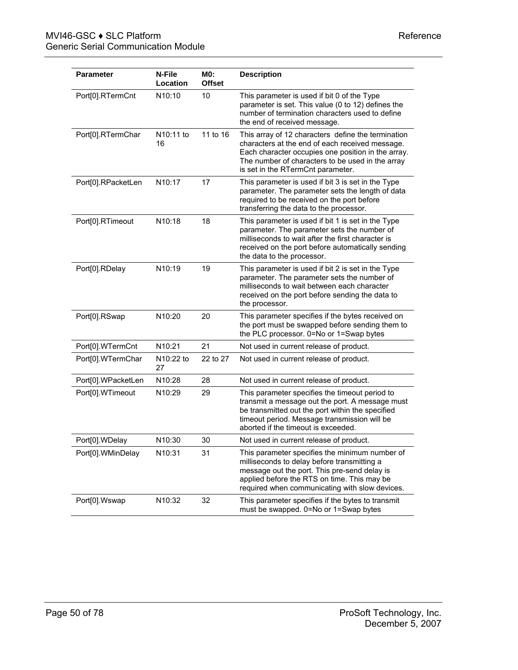| Parameter          | N-File<br>Location  | MO:<br><b>Offset</b> | <b>Description</b>                                                                                                                                                                                                                                   |
|--------------------|---------------------|----------------------|------------------------------------------------------------------------------------------------------------------------------------------------------------------------------------------------------------------------------------------------------|
| Port[0].RTermCnt   | N10:10              | 10                   | This parameter is used if bit 0 of the Type<br>parameter is set. This value (0 to 12) defines the<br>number of termination characters used to define<br>the end of received message.                                                                 |
| Port[0].RTermChar  | N10:11 to<br>16     | 11 to 16             | This array of 12 characters define the termination<br>characters at the end of each received message.<br>Each character occupies one position in the array.<br>The number of characters to be used in the array<br>is set in the RTermCnt parameter. |
| Port[0].RPacketLen | N10:17              | 17                   | This parameter is used if bit 3 is set in the Type<br>parameter. The parameter sets the length of data<br>required to be received on the port before<br>transferring the data to the processor.                                                      |
| Port[0].RTimeout   | N <sub>10</sub> :18 | 18                   | This parameter is used if bit 1 is set in the Type<br>parameter. The parameter sets the number of<br>milliseconds to wait after the first character is<br>received on the port before automatically sending<br>the data to the processor.            |
| Port[0].RDelay     | N10:19              | 19                   | This parameter is used if bit 2 is set in the Type<br>parameter. The parameter sets the number of<br>milliseconds to wait between each character<br>received on the port before sending the data to<br>the processor.                                |
| Port[0].RSwap      | N <sub>10</sub> :20 | 20                   | This parameter specifies if the bytes received on<br>the port must be swapped before sending them to<br>the PLC processor. 0=No or 1=Swap bytes                                                                                                      |
| Port[0].WTermCnt   | N10:21              | 21                   | Not used in current release of product.                                                                                                                                                                                                              |
| Port[0].WTermChar  | N10:22 to<br>27     | 22 to 27             | Not used in current release of product.                                                                                                                                                                                                              |
| Port[0].WPacketLen | N10:28              | 28                   | Not used in current release of product.                                                                                                                                                                                                              |
| Port[0].WTimeout   | N10:29              | 29                   | This parameter specifies the timeout period to<br>transmit a message out the port. A message must<br>be transmitted out the port within the specified<br>timeout period. Message transmission will be<br>aborted if the timeout is exceeded.         |
| Port[0].WDelay     | N <sub>10:30</sub>  | 30                   | Not used in current release of product.                                                                                                                                                                                                              |
| Port[0].WMinDelay  | N10:31              | 31                   | This parameter specifies the minimum number of<br>milliseconds to delay before transmitting a<br>message out the port. This pre-send delay is<br>applied before the RTS on time. This may be<br>required when communicating with slow devices.       |
| Port[0].Wswap      | N10:32              | 32                   | This parameter specifies if the bytes to transmit<br>must be swapped. 0=No or 1=Swap bytes                                                                                                                                                           |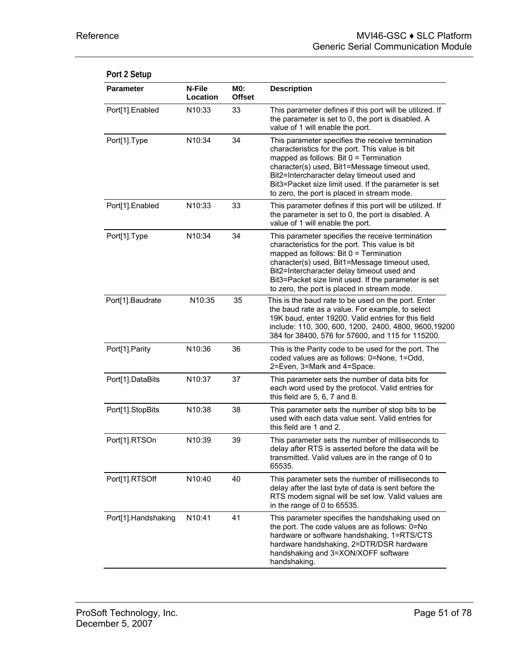| <b>Parameter</b>    | N-File<br>Location  | <b>MO:</b><br><b>Offset</b> | <b>Description</b>                                                                                                                                                                                                                                                                                                                                    |
|---------------------|---------------------|-----------------------------|-------------------------------------------------------------------------------------------------------------------------------------------------------------------------------------------------------------------------------------------------------------------------------------------------------------------------------------------------------|
| Port[1].Enabled     | N10:33              | 33                          | This parameter defines if this port will be utilized. If<br>the parameter is set to 0, the port is disabled. A<br>value of 1 will enable the port.                                                                                                                                                                                                    |
| Port[1].Type        | N10:34              | 34                          | This parameter specifies the receive termination<br>characteristics for the port. This value is bit<br>mapped as follows: Bit 0 = Termination<br>character(s) used, Bit1=Message timeout used,<br>Bit2=Intercharacter delay timeout used and<br>Bit3=Packet size limit used. If the parameter is set<br>to zero, the port is placed in stream mode.   |
| Port[1].Enabled     | N <sub>10</sub> :33 | 33                          | This parameter defines if this port will be utilized. If<br>the parameter is set to 0, the port is disabled. A<br>value of 1 will enable the port.                                                                                                                                                                                                    |
| Port[1].Type        | N10:34              | 34                          | This parameter specifies the receive termination<br>characteristics for the port. This value is bit<br>mapped as follows: Bit $0 =$ Termination<br>character(s) used, Bit1=Message timeout used,<br>Bit2=Intercharacter delay timeout used and<br>Bit3=Packet size limit used. If the parameter is set<br>to zero, the port is placed in stream mode. |
| Port[1].Baudrate    | N10:35              | 35                          | This is the baud rate to be used on the port. Enter<br>the baud rate as a value. For example, to select<br>19K baud, enter 19200. Valid entries for this field<br>include: 110, 300, 600, 1200, 2400, 4800, 9600, 19200<br>384 for 38400, 576 for 57600, and 115 for 115200.                                                                          |
| Port[1].Parity      | N10:36              | 36                          | This is the Parity code to be used for the port. The<br>coded values are as follows: 0=None, 1=Odd,<br>2=Even, 3=Mark and 4=Space.                                                                                                                                                                                                                    |
| Port[1].DataBits    | N10:37              | 37                          | This parameter sets the number of data bits for<br>each word used by the protocol. Valid entries for<br>this field are 5, 6, 7 and 8.                                                                                                                                                                                                                 |
| Port[1].StopBits    | N10:38              | 38                          | This parameter sets the number of stop bits to be<br>used with each data value sent. Valid entries for<br>this field are 1 and 2.                                                                                                                                                                                                                     |
| Port[1].RTSOn       | N10:39              | 39                          | This parameter sets the number of milliseconds to<br>delay after RTS is asserted before the data will be<br>transmitted. Valid values are in the range of 0 to<br>65535.                                                                                                                                                                              |
| Port[1].RTSOff      | N <sub>10</sub> :40 | 40                          | This parameter sets the number of milliseconds to<br>delay after the last byte of data is sent before the<br>RTS modem signal will be set low. Valid values are<br>in the range of 0 to 65535.                                                                                                                                                        |
| Port[1].Handshaking | N10:41              | 41                          | This parameter specifies the handshaking used on<br>the port. The code values are as follows: 0=No<br>hardware or software handshaking, 1=RTS/CTS<br>hardware handshaking, 2=DTR/DSR hardware<br>handshaking and 3=XON/XOFF software<br>handshaking.                                                                                                  |

# **Port 2 Setup**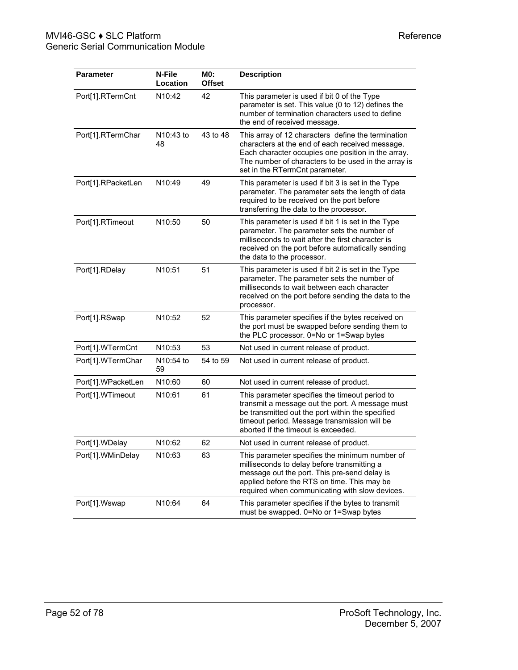| <b>Parameter</b>   | N-File<br>Location  | MO:<br><b>Offset</b> | <b>Description</b>                                                                                                                                                                                                                                   |
|--------------------|---------------------|----------------------|------------------------------------------------------------------------------------------------------------------------------------------------------------------------------------------------------------------------------------------------------|
| Port[1].RTermCnt   | N <sub>10</sub> :42 | 42                   | This parameter is used if bit 0 of the Type<br>parameter is set. This value (0 to 12) defines the<br>number of termination characters used to define<br>the end of received message.                                                                 |
| Port[1].RTermChar  | N10:43 to<br>48     | 43 to 48             | This array of 12 characters define the termination<br>characters at the end of each received message.<br>Each character occupies one position in the array.<br>The number of characters to be used in the array is<br>set in the RTermCnt parameter. |
| Port[1].RPacketLen | N10:49              | 49                   | This parameter is used if bit 3 is set in the Type<br>parameter. The parameter sets the length of data<br>required to be received on the port before<br>transferring the data to the processor.                                                      |
| Port[1].RTimeout   | N10:50              | 50                   | This parameter is used if bit 1 is set in the Type<br>parameter. The parameter sets the number of<br>milliseconds to wait after the first character is<br>received on the port before automatically sending<br>the data to the processor.            |
| Port[1].RDelay     | N10:51              | 51                   | This parameter is used if bit 2 is set in the Type<br>parameter. The parameter sets the number of<br>milliseconds to wait between each character<br>received on the port before sending the data to the<br>processor.                                |
| Port[1].RSwap      | N10:52              | 52                   | This parameter specifies if the bytes received on<br>the port must be swapped before sending them to<br>the PLC processor. 0=No or 1=Swap bytes                                                                                                      |
| Port[1].WTermCnt   | N10:53              | 53                   | Not used in current release of product.                                                                                                                                                                                                              |
| Port[1].WTermChar  | N10:54 to<br>59     | 54 to 59             | Not used in current release of product.                                                                                                                                                                                                              |
| Port[1].WPacketLen | N <sub>10:60</sub>  | 60                   | Not used in current release of product.                                                                                                                                                                                                              |
| Port[1].WTimeout   | N10:61              | 61                   | This parameter specifies the timeout period to<br>transmit a message out the port. A message must<br>be transmitted out the port within the specified<br>timeout period. Message transmission will be<br>aborted if the timeout is exceeded.         |
| Port[1].WDelay     | N <sub>10:62</sub>  | 62                   | Not used in current release of product.                                                                                                                                                                                                              |
| Port[1].WMinDelay  | N <sub>10</sub> :63 | 63                   | This parameter specifies the minimum number of<br>milliseconds to delay before transmitting a<br>message out the port. This pre-send delay is<br>applied before the RTS on time. This may be<br>required when communicating with slow devices.       |
| Port[1].Wswap      | N10:64              | 64                   | This parameter specifies if the bytes to transmit<br>must be swapped. 0=No or 1=Swap bytes                                                                                                                                                           |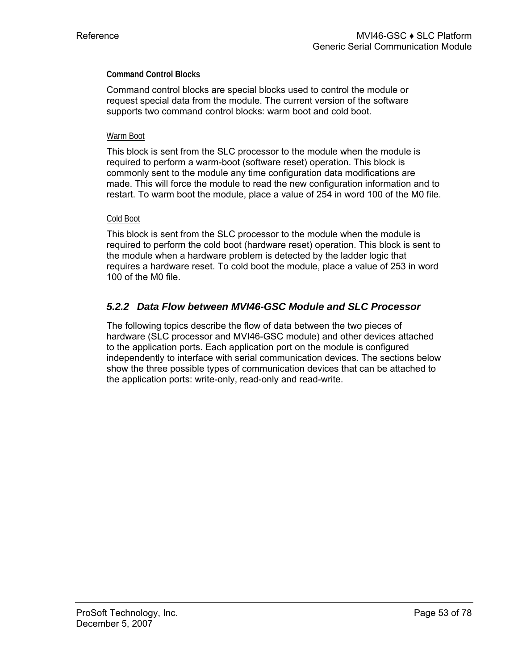### **Command Control Blocks**

Command control blocks are special blocks used to control the module or request special data from the module. The current version of the software supports two command control blocks: warm boot and cold boot.

#### Warm Boot

This block is sent from the SLC processor to the module when the module is required to perform a warm-boot (software reset) operation. This block is commonly sent to the module any time configuration data modifications are made. This will force the module to read the new configuration information and to restart. To warm boot the module, place a value of 254 in word 100 of the M0 file.

#### Cold Boot

This block is sent from the SLC processor to the module when the module is required to perform the cold boot (hardware reset) operation. This block is sent to the module when a hardware problem is detected by the ladder logic that requires a hardware reset. To cold boot the module, place a value of 253 in word 100 of the M0 file.

# *5.2.2 Data Flow between MVI46-GSC Module and SLC Processor*

The following topics describe the flow of data between the two pieces of hardware (SLC processor and MVI46-GSC module) and other devices attached to the application ports. Each application port on the module is configured independently to interface with serial communication devices. The sections below show the three possible types of communication devices that can be attached to the application ports: write-only, read-only and read-write.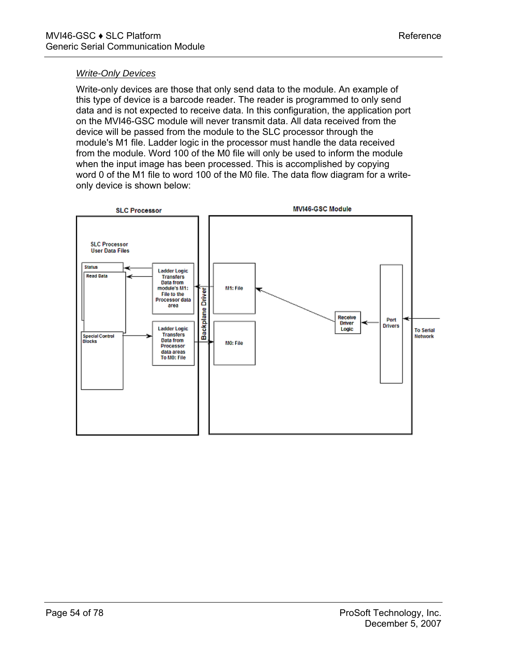#### *Write-Only Devices*

Write-only devices are those that only send data to the module. An example of this type of device is a barcode reader. The reader is programmed to only send data and is not expected to receive data. In this configuration, the application port on the MVI46-GSC module will never transmit data. All data received from the device will be passed from the module to the SLC processor through the module's M1 file. Ladder logic in the processor must handle the data received from the module. Word 100 of the M0 file will only be used to inform the module when the input image has been processed. This is accomplished by copying word 0 of the M1 file to word 100 of the M0 file. The data flow diagram for a writeonly device is shown below:

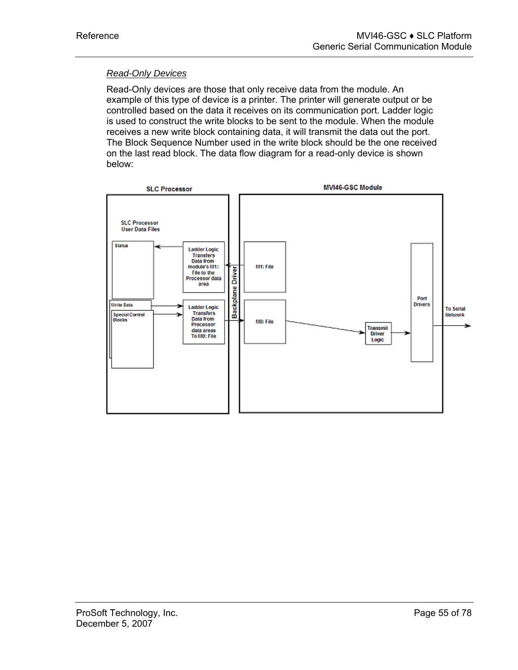# *Read-Only Devices*

Read-Only devices are those that only receive data from the module. An example of this type of device is a printer. The printer will generate output or be controlled based on the data it receives on its communication port. Ladder logic is used to construct the write blocks to be sent to the module. When the module receives a new write block containing data, it will transmit the data out the port. The Block Sequence Number used in the write block should be the one received on the last read block. The data flow diagram for a read-only device is shown below:

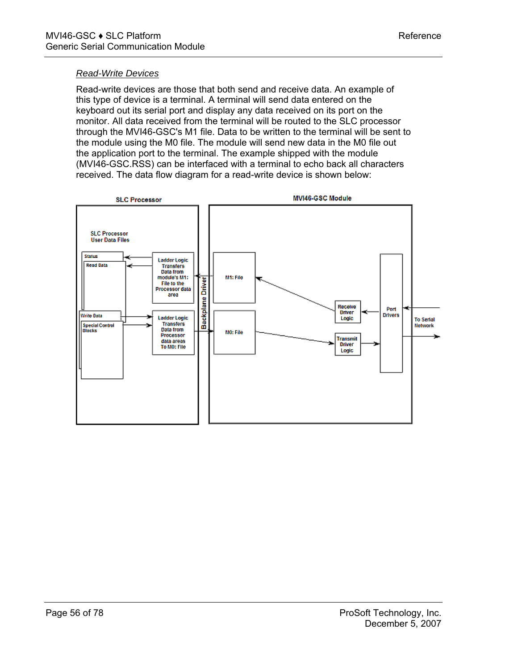### *Read-Write Devices*

Read-write devices are those that both send and receive data. An example of this type of device is a terminal. A terminal will send data entered on the keyboard out its serial port and display any data received on its port on the monitor. All data received from the terminal will be routed to the SLC processor through the MVI46-GSC's M1 file. Data to be written to the terminal will be sent to the module using the M0 file. The module will send new data in the M0 file out the application port to the terminal. The example shipped with the module (MVI46-GSC.RSS) can be interfaced with a terminal to echo back all characters received. The data flow diagram for a read-write device is shown below:

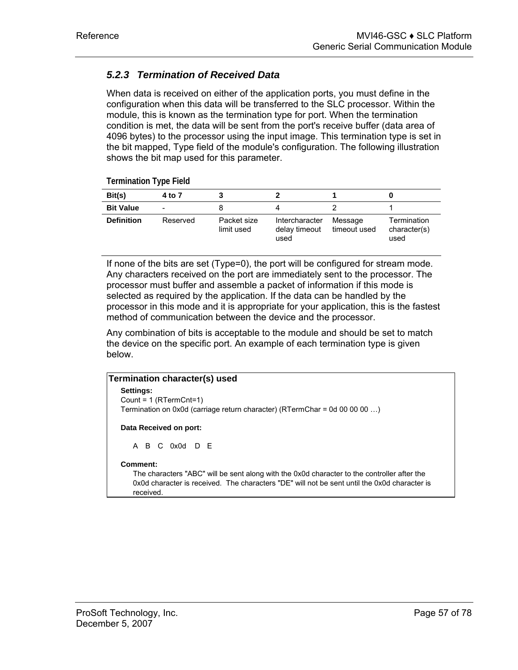# *5.2.3 Termination of Received Data*

When data is received on either of the application ports, you must define in the configuration when this data will be transferred to the SLC processor. Within the module, this is known as the termination type for port. When the termination condition is met, the data will be sent from the port's receive buffer (data area of 4096 bytes) to the processor using the input image. This termination type is set in the bit mapped, Type field of the module's configuration. The following illustration shows the bit map used for this parameter.

**Termination Type Field** 

| Bit(s)            | 4 to 7                   |                           |                                         |                         |                                     |
|-------------------|--------------------------|---------------------------|-----------------------------------------|-------------------------|-------------------------------------|
| <b>Bit Value</b>  | $\overline{\phantom{0}}$ |                           |                                         |                         |                                     |
| <b>Definition</b> | Reserved                 | Packet size<br>limit used | Intercharacter<br>delay timeout<br>used | Message<br>timeout used | Termination<br>character(s)<br>used |

If none of the bits are set (Type=0), the port will be configured for stream mode. Any characters received on the port are immediately sent to the processor. The processor must buffer and assemble a packet of information if this mode is selected as required by the application. If the data can be handled by the processor in this mode and it is appropriate for your application, this is the fastest method of communication between the device and the processor.

Any combination of bits is acceptable to the module and should be set to match the device on the specific port. An example of each termination type is given below.

# **Termination character(s) used Settings:** Count = 1 (RTermCnt=1) Termination on 0x0d (carriage return character) (RTermChar = 0d 00 00 00 ...) **Data Received on port:** A B C 0x0d D E **Comment:** The characters "ABC" will be sent along with the 0x0d character to the controller after the 0x0d character is received. The characters "DE" will not be sent until the 0x0d character is received.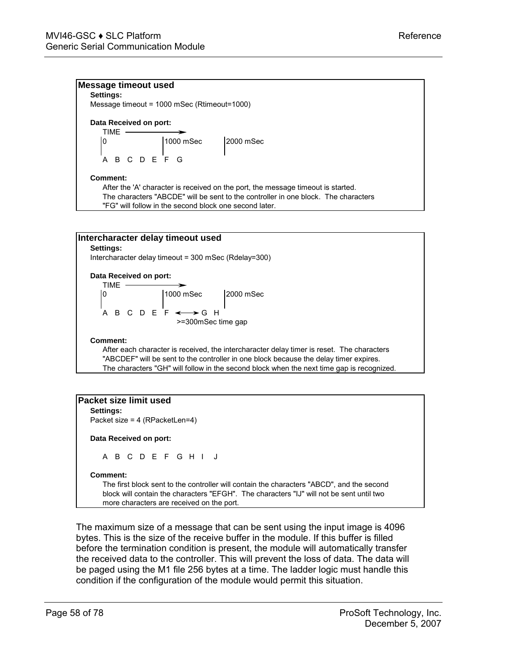#### **Message timeout used**

**Settings:** Message timeout = 1000 mSec (Rtimeout=1000)

#### **Data Received on port:**

$$
\begin{array}{c|c}\n\hline\n\text{TIME} & \text{1000} \text{mSec} \\
\hline\n\end{array}\n\quad\n\begin{array}{c}\n\text{2000 mSec} \\
\hline\n\end{array}
$$

ABCDEFG

#### **Comment:**

After the 'A' character is received on the port, the message timeout is started. The characters "ABCDE" will be sent to the controller in one block. The characters "FG" will follow in the second block one second later.



"ABCDEF" will be sent to the controller in one block because the delay timer expires. The characters "GH" will follow in the second block when the next time gap is recognized.

| A B C D E F G H I J                                                                       |
|-------------------------------------------------------------------------------------------|
|                                                                                           |
| The first block sent to the controller will contain the characters "ABCD", and the second |
| block will contain the characters "EFGH". The characters "IJ" will not be sent until two  |

more characters are received on the port.

The maximum size of a message that can be sent using the input image is 4096 bytes. This is the size of the receive buffer in the module. If this buffer is filled before the termination condition is present, the module will automatically transfer the received data to the controller. This will prevent the loss of data. The data will be paged using the M1 file 256 bytes at a time. The ladder logic must handle this condition if the configuration of the module would permit this situation.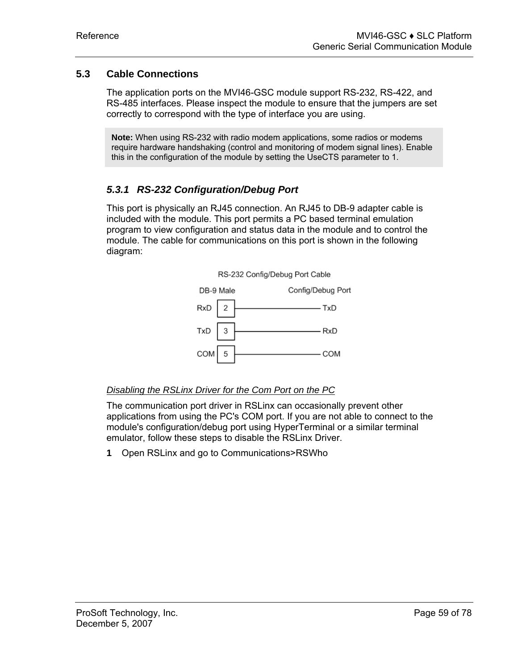# **5.3 Cable Connections**

<span id="page-58-0"></span>The application ports on the MVI46-GSC module support RS-232, RS-422, and RS-485 interfaces. Please inspect the module to ensure that the jumpers are set correctly to correspond with the type of interface you are using.

**Note:** When using RS-232 with radio modem applications, some radios or modems require hardware handshaking (control and monitoring of modem signal lines). Enable this in the configuration of the module by setting the UseCTS parameter to 1.

# *5.3.1 RS-232 Configuration/Debug Port*

This port is physically an RJ45 connection. An RJ45 to DB-9 adapter cable is included with the module. This port permits a PC based terminal emulation program to view configuration and status data in the module and to control the module. The cable for communications on this port is shown in the following diagram:



#### *Disabling the RSLinx Driver for the Com Port on the PC*

The communication port driver in RSLinx can occasionally prevent other applications from using the PC's COM port. If you are not able to connect to the module's configuration/debug port using HyperTerminal or a similar terminal emulator, follow these steps to disable the RSLinx Driver.

**1** Open RSLinx and go to Communications>RSWho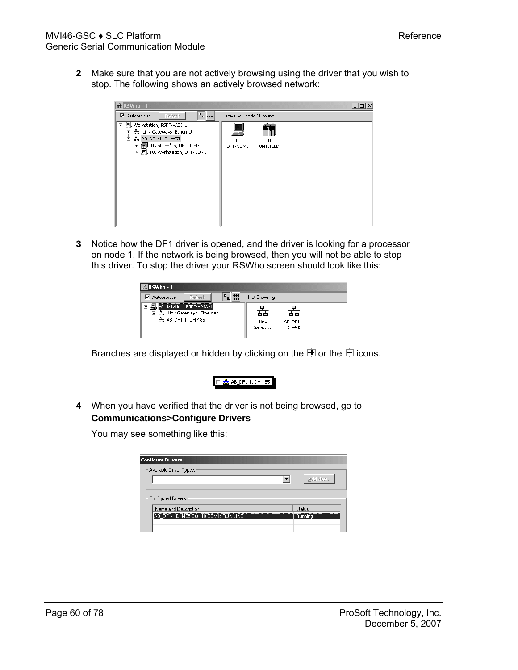**2** Make sure that you are not actively browsing using the driver that you wish to stop. The following shows an actively browsed network:

| $\frac{1}{56}$ RSWho - 1                                                                | -10                                            |
|-----------------------------------------------------------------------------------------|------------------------------------------------|
| Pa iii<br>⊽<br>Refresh<br>Autobrowse                                                    | Browsing - node 10 found                       |
| □ ■ Workstation, PSFT-VAIO-1<br>·器 Linx Gateways, Ethernet<br>国<br>白 器 AB_DF1-1, DH-485 | ann a<br>ō<br>10<br>01<br>DF1-COM1<br>UNTITLED |

**3** Notice how the DF1 driver is opened, and the driver is looking for a processor on node 1. If the network is being browsed, then you will not be able to stop this driver. To stop the driver your RSWho screen should look like this:

| $R$ RSWho-1                                                                     |                     |               |                          |  |
|---------------------------------------------------------------------------------|---------------------|---------------|--------------------------|--|
| $\nabla$ Autobrowse<br><b>Refresh</b>                                           | $\overline{v}$<br>面 | Not Browsing  |                          |  |
| Workstation, PSFT-VAIO-1<br>由 去 Linx Gateways, Ethernet<br>由 器 AB_DF1-1, DH-485 |                     | Linx<br>Gatew | 66<br>AB_DF1-1<br>DH-485 |  |

Branches are displayed or hidden by clicking on the  $\blacksquare$  or the  $\blacksquare$  icons.



**4** When you have verified that the driver is not being browsed, go to **Communications>Configure Drivers**

You may see something like this:

|         | <b>Configure Drivers</b>             |
|---------|--------------------------------------|
|         | -Available Driver Types:-            |
| Add New |                                      |
|         |                                      |
|         |                                      |
|         | – Configured Drivers: ·              |
| Status  | Name and Description                 |
| Running | AB DF1-1 DH485 Sta: 10 COM1: RUNNING |
|         |                                      |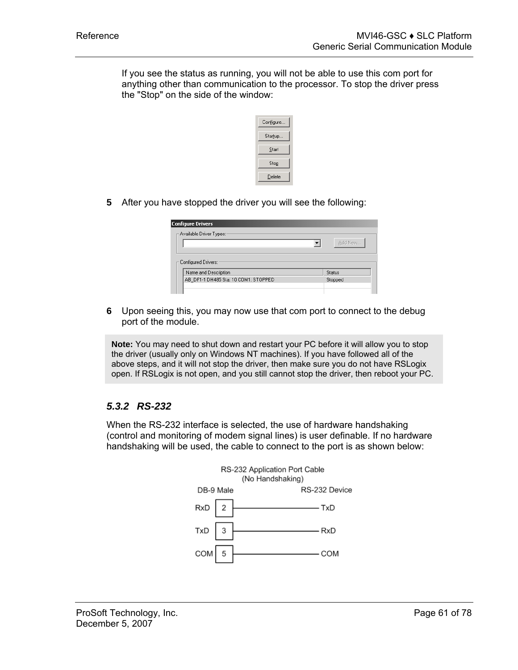If you see the status as running, you will not be able to use this com port for anything other than communication to the processor. To stop the driver press the "Stop" on the side of the window:

| Configure |
|-----------|
| Startup   |
| Start     |
| Stop      |
| Delete    |

**5** After you have stopped the driver you will see the following:

| <b>Configure Drivers</b>             |        |         |
|--------------------------------------|--------|---------|
| – Available Driver Types: ·          |        | Add New |
| — Configured Drivers:∼               |        |         |
| Name and Description                 | Status |         |
| AB DF1-1 DH485 Sta: 10 COM1: STOPPED |        | Stopped |
|                                      |        |         |

**6** Upon seeing this, you may now use that com port to connect to the debug port of the module.

**Note:** You may need to shut down and restart your PC before it will allow you to stop the driver (usually only on Windows NT machines). If you have followed all of the above steps, and it will not stop the driver, then make sure you do not have RSLogix open. If RSLogix is not open, and you still cannot stop the driver, then reboot your PC.

# *5.3.2 RS-232*

When the RS-232 interface is selected, the use of hardware handshaking (control and monitoring of modem signal lines) is user definable. If no hardware handshaking will be used, the cable to connect to the port is as shown below:

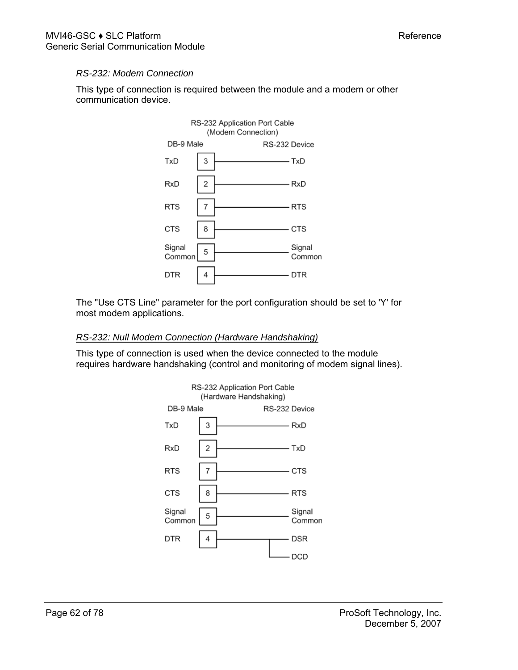# *RS-232: Modem Connection*

This type of connection is required between the module and a modem or other communication device.



The "Use CTS Line" parameter for the port configuration should be set to 'Y' for most modem applications.

#### *RS-232: Null Modem Connection (Hardware Handshaking)*

This type of connection is used when the device connected to the module requires hardware handshaking (control and monitoring of modem signal lines).

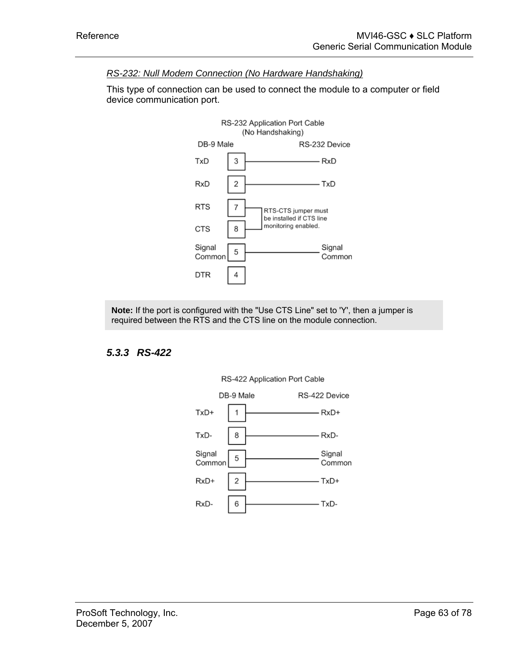# *RS-232: Null Modem Connection (No Hardware Handshaking)*

This type of connection can be used to connect the module to a computer or field device communication port.



**Note:** If the port is configured with the "Use CTS Line" set to 'Y', then a jumper is required between the RTS and the CTS line on the module connection.

# *5.3.3 RS-422*



# RS-422 Application Port Cable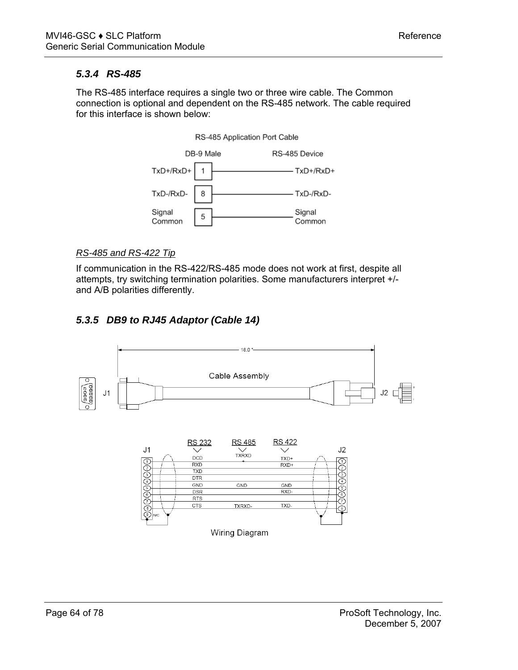# *5.3.4 RS-485*

The RS-485 interface requires a single two or three wire cable. The Common connection is optional and dependent on the RS-485 network. The cable required for this interface is shown below:

#### RS-485 Application Port Cable



#### *RS-485 and RS-422 Tip*

If communication in the RS-422/RS-485 mode does not work at first, despite all attempts, try switching termination polarities. Some manufacturers interpret +/ and A/B polarities differently.

# *5.3.5 DB9 to RJ45 Adaptor (Cable 14)*

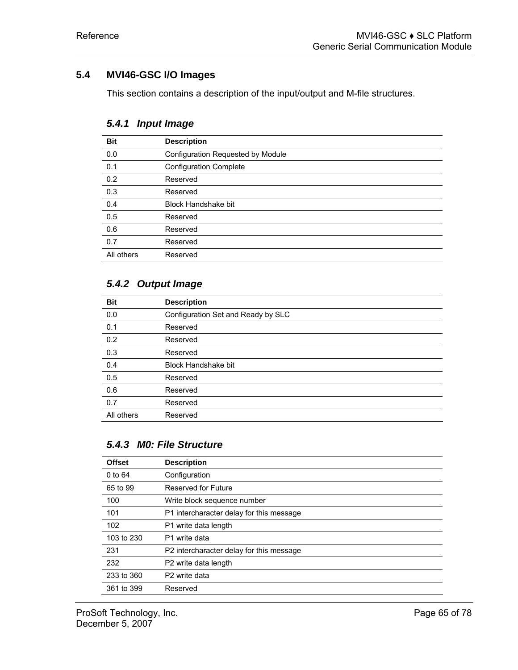# **5.4 MVI46-GSC I/O Images**

<span id="page-64-0"></span>This section contains a description of the input/output and M-file structures.

| <b>Bit</b> | <b>Description</b>                |
|------------|-----------------------------------|
| 0.0        | Configuration Requested by Module |
| 0.1        | <b>Configuration Complete</b>     |
| 0.2        | Reserved                          |
| 0.3        | Reserved                          |
| 0.4        | <b>Block Handshake bit</b>        |
| 0.5        | Reserved                          |
| 0.6        | Reserved                          |
| 0.7        | Reserved                          |
| All others | Reserved                          |

# *5.4.1 Input Image*

# *5.4.2 Output Image*

| <b>Bit</b> | <b>Description</b>                 |
|------------|------------------------------------|
| 0.0        | Configuration Set and Ready by SLC |
| 0.1        | Reserved                           |
| 0.2        | Reserved                           |
| 0.3        | Reserved                           |
| 0.4        | Block Handshake bit                |
| 0.5        | Reserved                           |
| 0.6        | Reserved                           |
| 0.7        | Reserved                           |
| All others | Reserved                           |

# *5.4.3 M0: File Structure*

| <b>Offset</b> | <b>Description</b>                       |
|---------------|------------------------------------------|
| 0 to 64       | Configuration                            |
| 65 to 99      | Reserved for Future                      |
| 100           | Write block sequence number              |
| 101           | P1 intercharacter delay for this message |
| 102           | P1 write data length                     |
| 103 to 230    | P1 write data                            |
| 231           | P2 intercharacter delay for this message |
| 232           | P2 write data length                     |
| 233 to 360    | P <sub>2</sub> write data                |
| 361 to 399    | Reserved                                 |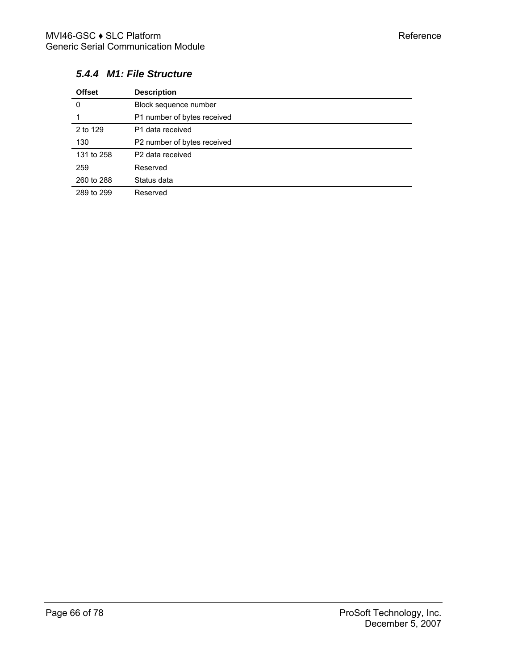# *5.4.4 M1: File Structure*

| <b>Offset</b> | <b>Description</b>           |
|---------------|------------------------------|
| 0             | Block sequence number        |
|               | P1 number of bytes received  |
| 2 to 129      | P1 data received             |
| 130           | P2 number of bytes received  |
| 131 to 258    | P <sub>2</sub> data received |
| 259           | Reserved                     |
| 260 to 288    | Status data                  |
| 289 to 299    | Reserved                     |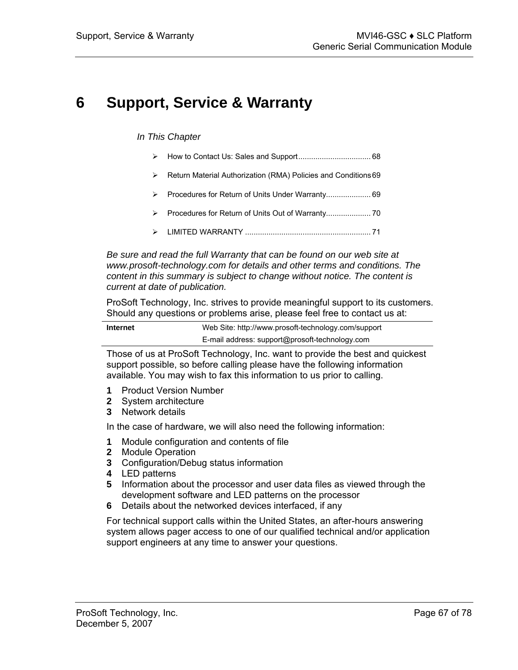# **6 Support, Service & Warranty**

#### *In This Chapter*

- ¾ [How to Contact Us: Sales and Support.](#page-67-0)................................. [68](#page-67-0)
- ¾ [Return Material Authorization \(RMA\) Policies and Conditions69](#page-68-0)
- ¾ [Procedures for Return of Units Under Warranty..](#page-68-1)................... [69](#page-68-1)
- ¾ [Procedures for Return of Units Out of Warranty..](#page-69-0)................... [70](#page-69-0)
- ¾ [LIMITED WARRANTY .](#page-70-0).......................................................... [71](#page-70-0)

*Be sure and read the full Warranty that can be found on our web site at www.prosoft-technology.com for details and other terms and conditions. The content in this summary is subject to change without notice. The content is current at date of publication.*

ProSoft Technology, Inc. strives to provide meaningful support to its customers. Should any questions or problems arise, please feel free to contact us at:

| Internet | Web Site: http://www.prosoft-technology.com/support |
|----------|-----------------------------------------------------|
|          | E-mail address: support@prosoft-technology.com      |

Those of us at ProSoft Technology, Inc. want to provide the best and quickest support possible, so before calling please have the following information available. You may wish to fax this information to us prior to calling.

- **1** Product Version Number
- **2** System architecture
- **3** Network details

In the case of hardware, we will also need the following information:

- **1** Module configuration and contents of file
- **2** Module Operation
- **3** Configuration/Debug status information
- **4** LED patterns
- **5** Information about the processor and user data files as viewed through the development software and LED patterns on the processor
- **6** Details about the networked devices interfaced, if any

For technical support calls within the United States, an after-hours answering system allows pager access to one of our qualified technical and/or application support engineers at any time to answer your questions.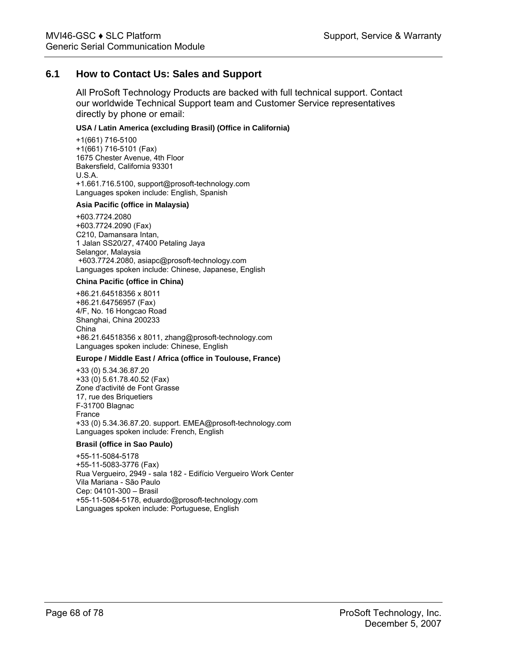# **6.1 How to Contact Us: Sales and Support**

<span id="page-67-0"></span>All ProSoft Technology Products are backed with full technical support. Contact our worldwide Technical Support team and Customer Service representatives directly by phone or email:

#### **USA / Latin America (excluding Brasil) (Office in California)**

+1(661) 716-5100 +1(661) 716-5101 (Fax) 1675 Chester Avenue, 4th Floor Bakersfield, California 93301 U.S.A. +1.661.716.5100, support@prosoft-technology.com Languages spoken include: English, Spanish

#### **Asia Pacific (office in Malaysia)**

+603.7724.2080 +603.7724.2090 (Fax) C210, Damansara Intan, 1 Jalan SS20/27, 47400 Petaling Jaya Selangor, Malaysia +603.7724.2080, asiapc@prosoft-technology.com Languages spoken include: Chinese, Japanese, English

#### **China Pacific (office in China)**

+86.21.64518356 x 8011 +86.21.64756957 (Fax) 4/F, No. 16 Hongcao Road Shanghai, China 200233 China +86.21.64518356 x 8011, zhang@prosoft-technology.com Languages spoken include: Chinese, English

#### **Europe / Middle East / Africa (office in Toulouse, France)**

+33 (0) 5.34.36.87.20 +33 (0) 5.61.78.40.52 (Fax) Zone d'activité de Font Grasse 17, rue des Briquetiers F-31700 Blagnac France +33 (0) 5.34.36.87.20. support. EMEA@prosoft-technology.com Languages spoken include: French, English

#### **Brasil (office in Sao Paulo)**

+55-11-5084-5178 +55-11-5083-3776 (Fax) Rua Vergueiro, 2949 - sala 182 - Edifício Vergueiro Work Center Vila Mariana - São Paulo Cep: 04101-300 – Brasil +55-11-5084-5178, eduardo@prosoft-technology.com Languages spoken include: Portuguese, English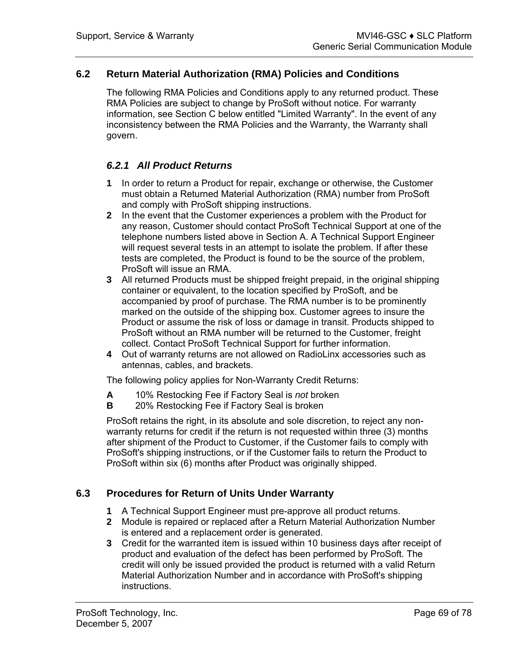# **6.2 Return Material Authorization (RMA) Policies and Conditions**

<span id="page-68-0"></span>The following RMA Policies and Conditions apply to any returned product. These RMA Policies are subject to change by ProSoft without notice. For warranty information, see Section C below entitled "Limited Warranty". In the event of any inconsistency between the RMA Policies and the Warranty, the Warranty shall govern.

# *6.2.1 All Product Returns*

- **1** In order to return a Product for repair, exchange or otherwise, the Customer must obtain a Returned Material Authorization (RMA) number from ProSoft and comply with ProSoft shipping instructions.
- **2** In the event that the Customer experiences a problem with the Product for any reason, Customer should contact ProSoft Technical Support at one of the telephone numbers listed above in Section A. A Technical Support Engineer will request several tests in an attempt to isolate the problem. If after these tests are completed, the Product is found to be the source of the problem, ProSoft will issue an RMA.
- **3** All returned Products must be shipped freight prepaid, in the original shipping container or equivalent, to the location specified by ProSoft, and be accompanied by proof of purchase. The RMA number is to be prominently marked on the outside of the shipping box. Customer agrees to insure the Product or assume the risk of loss or damage in transit. Products shipped to ProSoft without an RMA number will be returned to the Customer, freight collect. Contact ProSoft Technical Support for further information.
- **4** Out of warranty returns are not allowed on RadioLinx accessories such as antennas, cables, and brackets.

The following policy applies for Non-Warranty Credit Returns:

- **A** 10% Restocking Fee if Factory Seal is *not* broken
- **B** 20% Restocking Fee if Factory Seal is broken

ProSoft retains the right, in its absolute and sole discretion, to reject any nonwarranty returns for credit if the return is not requested within three (3) months after shipment of the Product to Customer, if the Customer fails to comply with ProSoft's shipping instructions, or if the Customer fails to return the Product to ProSoft within six (6) months after Product was originally shipped.

# **6.3 Procedures for Return of Units Under Warranty**

- <span id="page-68-1"></span>**1** A Technical Support Engineer must pre-approve all product returns.
- **2** Module is repaired or replaced after a Return Material Authorization Number is entered and a replacement order is generated.
- **3** Credit for the warranted item is issued within 10 business days after receipt of product and evaluation of the defect has been performed by ProSoft. The credit will only be issued provided the product is returned with a valid Return Material Authorization Number and in accordance with ProSoft's shipping instructions.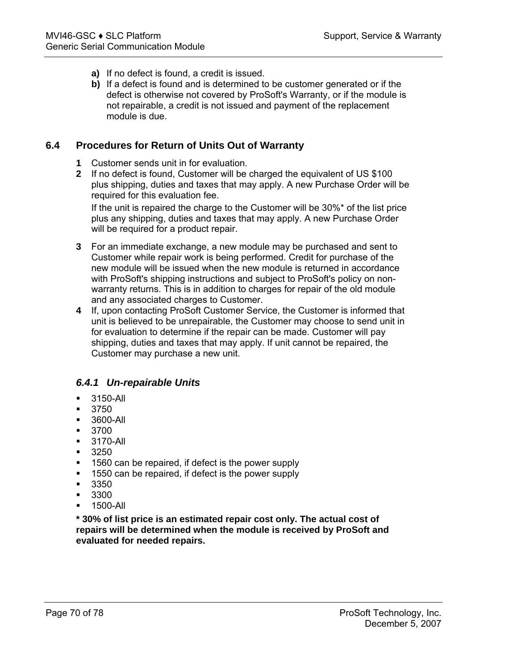- **a)** If no defect is found, a credit is issued.
- **b)** If a defect is found and is determined to be customer generated or if the defect is otherwise not covered by ProSoft's Warranty, or if the module is not repairable, a credit is not issued and payment of the replacement module is due.

# **6.4 Procedures for Return of Units Out of Warranty**

- <span id="page-69-0"></span>**1** Customer sends unit in for evaluation.
- **2** If no defect is found, Customer will be charged the equivalent of US \$100 plus shipping, duties and taxes that may apply. A new Purchase Order will be required for this evaluation fee.

If the unit is repaired the charge to the Customer will be 30%\* of the list price plus any shipping, duties and taxes that may apply. A new Purchase Order will be required for a product repair.

- **3** For an immediate exchange, a new module may be purchased and sent to Customer while repair work is being performed. Credit for purchase of the new module will be issued when the new module is returned in accordance with ProSoft's shipping instructions and subject to ProSoft's policy on nonwarranty returns. This is in addition to charges for repair of the old module and any associated charges to Customer.
- **4** If, upon contacting ProSoft Customer Service, the Customer is informed that unit is believed to be unrepairable, the Customer may choose to send unit in for evaluation to determine if the repair can be made. Customer will pay shipping, duties and taxes that may apply. If unit cannot be repaired, the Customer may purchase a new unit.

# *6.4.1 Un-repairable Units*

- 3150-All
- 3750
- **3600-All**
- 3700
- 3170-All
- 3250
- 1560 can be repaired, if defect is the power supply
- 1550 can be repaired, if defect is the power supply
- $-3350$
- 3300
- **1500-All**

**\* 30% of list price is an estimated repair cost only. The actual cost of repairs will be determined when the module is received by ProSoft and evaluated for needed repairs.**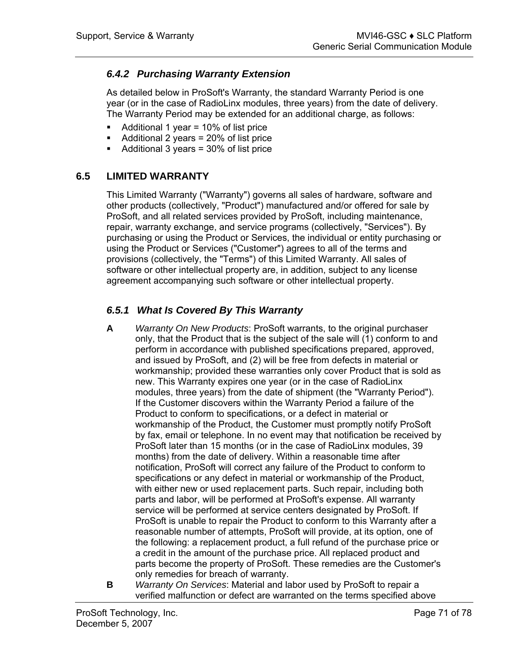# *6.4.2 Purchasing Warranty Extension*

As detailed below in ProSoft's Warranty, the standard Warranty Period is one year (or in the case of RadioLinx modules, three years) from the date of delivery. The Warranty Period may be extended for an additional charge, as follows:

- $\blacksquare$  Additional 1 year = 10% of list price
- Additional 2 years = 20% of list price
- $\blacksquare$  Additional 3 years = 30% of list price

# **6.5 LIMITED WARRANTY**

<span id="page-70-0"></span>This Limited Warranty ("Warranty") governs all sales of hardware, software and other products (collectively, "Product") manufactured and/or offered for sale by ProSoft, and all related services provided by ProSoft, including maintenance, repair, warranty exchange, and service programs (collectively, "Services"). By purchasing or using the Product or Services, the individual or entity purchasing or using the Product or Services ("Customer") agrees to all of the terms and provisions (collectively, the "Terms") of this Limited Warranty. All sales of software or other intellectual property are, in addition, subject to any license agreement accompanying such software or other intellectual property.

# *6.5.1 What Is Covered By This Warranty*

- **A** *Warranty On New Products*: ProSoft warrants, to the original purchaser only, that the Product that is the subject of the sale will (1) conform to and perform in accordance with published specifications prepared, approved, and issued by ProSoft, and (2) will be free from defects in material or workmanship; provided these warranties only cover Product that is sold as new. This Warranty expires one year (or in the case of RadioLinx modules, three years) from the date of shipment (the "Warranty Period"). If the Customer discovers within the Warranty Period a failure of the Product to conform to specifications, or a defect in material or workmanship of the Product, the Customer must promptly notify ProSoft by fax, email or telephone. In no event may that notification be received by ProSoft later than 15 months (or in the case of RadioLinx modules, 39 months) from the date of delivery. Within a reasonable time after notification, ProSoft will correct any failure of the Product to conform to specifications or any defect in material or workmanship of the Product, with either new or used replacement parts. Such repair, including both parts and labor, will be performed at ProSoft's expense. All warranty service will be performed at service centers designated by ProSoft. If ProSoft is unable to repair the Product to conform to this Warranty after a reasonable number of attempts, ProSoft will provide, at its option, one of the following: a replacement product, a full refund of the purchase price or a credit in the amount of the purchase price. All replaced product and parts become the property of ProSoft. These remedies are the Customer's only remedies for breach of warranty.
- **B** *Warranty On Services*: Material and labor used by ProSoft to repair a verified malfunction or defect are warranted on the terms specified above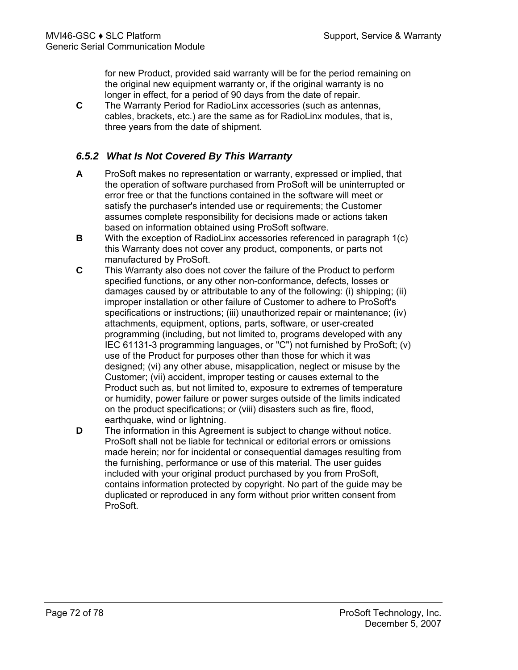for new Product, provided said warranty will be for the period remaining on the original new equipment warranty or, if the original warranty is no longer in effect, for a period of 90 days from the date of repair.

**C** The Warranty Period for RadioLinx accessories (such as antennas, cables, brackets, etc.) are the same as for RadioLinx modules, that is, three years from the date of shipment.

# *6.5.2 What Is Not Covered By This Warranty*

- **A** ProSoft makes no representation or warranty, expressed or implied, that the operation of software purchased from ProSoft will be uninterrupted or error free or that the functions contained in the software will meet or satisfy the purchaser's intended use or requirements; the Customer assumes complete responsibility for decisions made or actions taken based on information obtained using ProSoft software.
- **B** With the exception of RadioLinx accessories referenced in paragraph 1(c) this Warranty does not cover any product, components, or parts not manufactured by ProSoft.
- **C** This Warranty also does not cover the failure of the Product to perform specified functions, or any other non-conformance, defects, losses or damages caused by or attributable to any of the following: (i) shipping; (ii) improper installation or other failure of Customer to adhere to ProSoft's specifications or instructions; (iii) unauthorized repair or maintenance; (iv) attachments, equipment, options, parts, software, or user-created programming (including, but not limited to, programs developed with any IEC 61131-3 programming languages, or "C") not furnished by ProSoft; (v) use of the Product for purposes other than those for which it was designed; (vi) any other abuse, misapplication, neglect or misuse by the Customer; (vii) accident, improper testing or causes external to the Product such as, but not limited to, exposure to extremes of temperature or humidity, power failure or power surges outside of the limits indicated on the product specifications; or (viii) disasters such as fire, flood, earthquake, wind or lightning.
- **D** The information in this Agreement is subject to change without notice. ProSoft shall not be liable for technical or editorial errors or omissions made herein; nor for incidental or consequential damages resulting from the furnishing, performance or use of this material. The user guides included with your original product purchased by you from ProSoft, contains information protected by copyright. No part of the guide may be duplicated or reproduced in any form without prior written consent from ProSoft.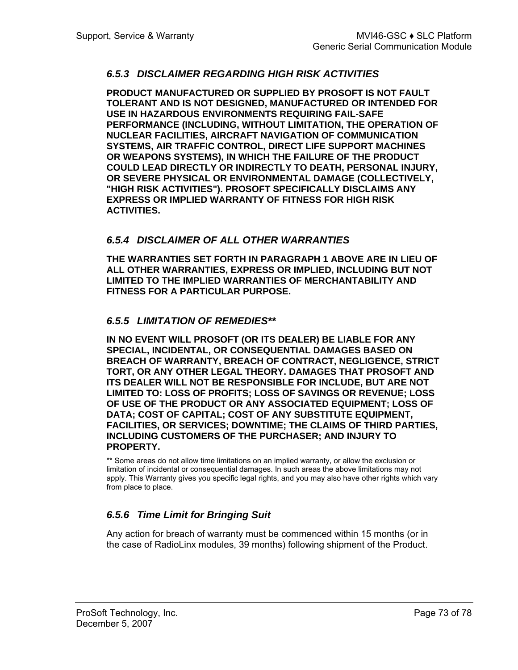### *6.5.3 DISCLAIMER REGARDING HIGH RISK ACTIVITIES*

**PRODUCT MANUFACTURED OR SUPPLIED BY PROSOFT IS NOT FAULT TOLERANT AND IS NOT DESIGNED, MANUFACTURED OR INTENDED FOR USE IN HAZARDOUS ENVIRONMENTS REQUIRING FAIL-SAFE PERFORMANCE (INCLUDING, WITHOUT LIMITATION, THE OPERATION OF NUCLEAR FACILITIES, AIRCRAFT NAVIGATION OF COMMUNICATION SYSTEMS, AIR TRAFFIC CONTROL, DIRECT LIFE SUPPORT MACHINES OR WEAPONS SYSTEMS), IN WHICH THE FAILURE OF THE PRODUCT COULD LEAD DIRECTLY OR INDIRECTLY TO DEATH, PERSONAL INJURY, OR SEVERE PHYSICAL OR ENVIRONMENTAL DAMAGE (COLLECTIVELY, "HIGH RISK ACTIVITIES"). PROSOFT SPECIFICALLY DISCLAIMS ANY EXPRESS OR IMPLIED WARRANTY OF FITNESS FOR HIGH RISK ACTIVITIES.**

#### *6.5.4 DISCLAIMER OF ALL OTHER WARRANTIES*

**THE WARRANTIES SET FORTH IN PARAGRAPH 1 ABOVE ARE IN LIEU OF ALL OTHER WARRANTIES, EXPRESS OR IMPLIED, INCLUDING BUT NOT LIMITED TO THE IMPLIED WARRANTIES OF MERCHANTABILITY AND FITNESS FOR A PARTICULAR PURPOSE.**

#### *6.5.5 LIMITATION OF REMEDIES\*\**

**IN NO EVENT WILL PROSOFT (OR ITS DEALER) BE LIABLE FOR ANY SPECIAL, INCIDENTAL, OR CONSEQUENTIAL DAMAGES BASED ON BREACH OF WARRANTY, BREACH OF CONTRACT, NEGLIGENCE, STRICT TORT, OR ANY OTHER LEGAL THEORY. DAMAGES THAT PROSOFT AND ITS DEALER WILL NOT BE RESPONSIBLE FOR INCLUDE, BUT ARE NOT LIMITED TO: LOSS OF PROFITS; LOSS OF SAVINGS OR REVENUE; LOSS OF USE OF THE PRODUCT OR ANY ASSOCIATED EQUIPMENT; LOSS OF DATA; COST OF CAPITAL; COST OF ANY SUBSTITUTE EQUIPMENT, FACILITIES, OR SERVICES; DOWNTIME; THE CLAIMS OF THIRD PARTIES, INCLUDING CUSTOMERS OF THE PURCHASER; AND INJURY TO PROPERTY.**

\*\* Some areas do not allow time limitations on an implied warranty, or allow the exclusion or limitation of incidental or consequential damages. In such areas the above limitations may not apply. This Warranty gives you specific legal rights, and you may also have other rights which vary from place to place.

### *6.5.6 Time Limit for Bringing Suit*

Any action for breach of warranty must be commenced within 15 months (or in the case of RadioLinx modules, 39 months) following shipment of the Product.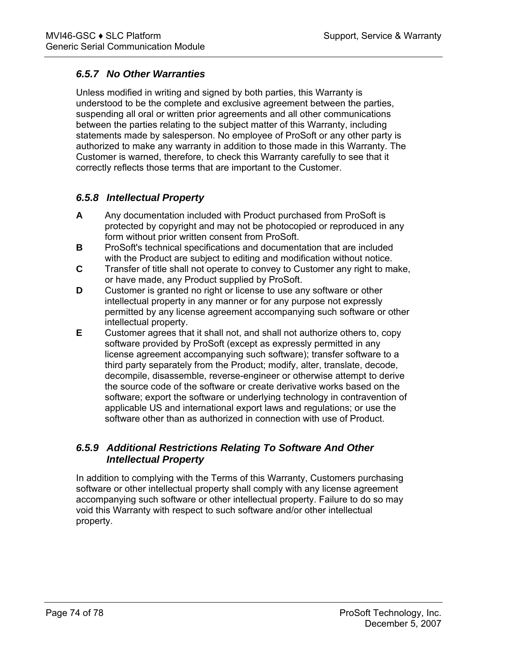### *6.5.7 No Other Warranties*

Unless modified in writing and signed by both parties, this Warranty is understood to be the complete and exclusive agreement between the parties, suspending all oral or written prior agreements and all other communications between the parties relating to the subject matter of this Warranty, including statements made by salesperson. No employee of ProSoft or any other party is authorized to make any warranty in addition to those made in this Warranty. The Customer is warned, therefore, to check this Warranty carefully to see that it correctly reflects those terms that are important to the Customer.

### *6.5.8 Intellectual Property*

- **A** Any documentation included with Product purchased from ProSoft is protected by copyright and may not be photocopied or reproduced in any form without prior written consent from ProSoft.
- **B** ProSoft's technical specifications and documentation that are included with the Product are subject to editing and modification without notice.
- **C** Transfer of title shall not operate to convey to Customer any right to make, or have made, any Product supplied by ProSoft.
- **D** Customer is granted no right or license to use any software or other intellectual property in any manner or for any purpose not expressly permitted by any license agreement accompanying such software or other intellectual property.
- **E** Customer agrees that it shall not, and shall not authorize others to, copy software provided by ProSoft (except as expressly permitted in any license agreement accompanying such software); transfer software to a third party separately from the Product; modify, alter, translate, decode, decompile, disassemble, reverse-engineer or otherwise attempt to derive the source code of the software or create derivative works based on the software; export the software or underlying technology in contravention of applicable US and international export laws and regulations; or use the software other than as authorized in connection with use of Product.

### *6.5.9 Additional Restrictions Relating To Software And Other Intellectual Property*

In addition to complying with the Terms of this Warranty, Customers purchasing software or other intellectual property shall comply with any license agreement accompanying such software or other intellectual property. Failure to do so may void this Warranty with respect to such software and/or other intellectual property.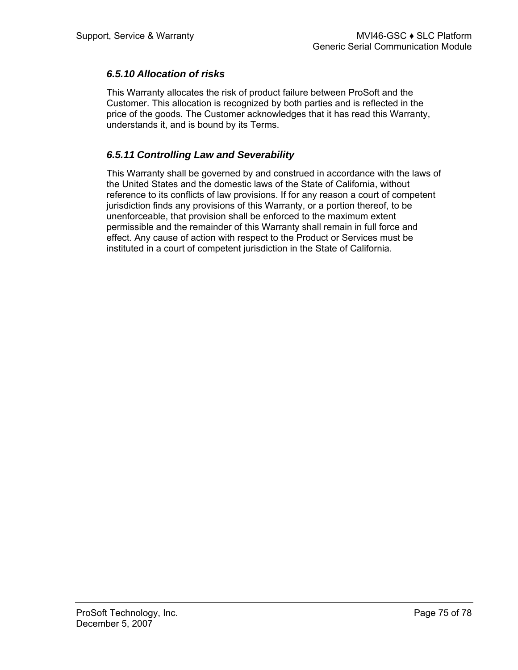#### *6.5.10 Allocation of risks*

This Warranty allocates the risk of product failure between ProSoft and the Customer. This allocation is recognized by both parties and is reflected in the price of the goods. The Customer acknowledges that it has read this Warranty, understands it, and is bound by its Terms.

#### *6.5.11 Controlling Law and Severability*

This Warranty shall be governed by and construed in accordance with the laws of the United States and the domestic laws of the State of California, without reference to its conflicts of law provisions. If for any reason a court of competent jurisdiction finds any provisions of this Warranty, or a portion thereof, to be unenforceable, that provision shall be enforced to the maximum extent permissible and the remainder of this Warranty shall remain in full force and effect. Any cause of action with respect to the Product or Services must be instituted in a court of competent jurisdiction in the State of California.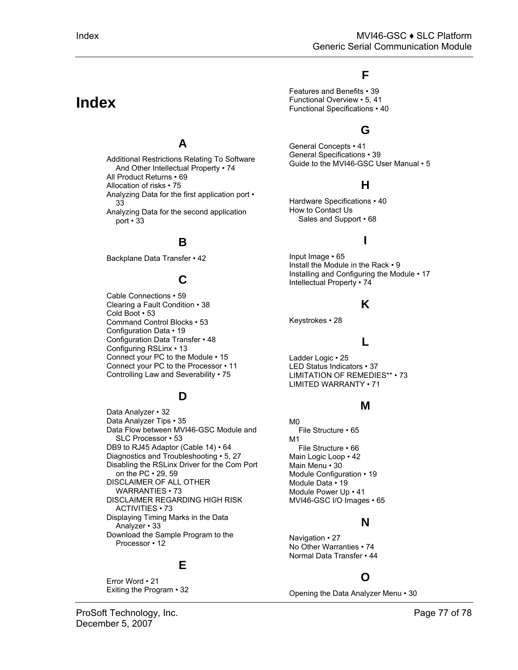# **Index**

## **A**

Additional Restrictions Relating To Software And Other Intellectual Property • 74 All Product Returns • 69 Allocation of risks • 75 Analyzing Data for the first application port • 33 Analyzing Data for the second application port • 33

### **B**

Backplane Data Transfer • 42

### **C**

Cable Connections • 59 Clearing a Fault Condition • 38 Cold Boot • 53 Command Control Blocks • 53 Configuration Data • 19 Configuration Data Transfer • 48 Configuring RSLinx • 13 Connect your PC to the Module • 15 Connect your PC to the Processor • 11 Controlling Law and Severability • 75

### **D**

Data Analyzer • 32 Data Analyzer Tips • 35 Data Flow between MVI46-GSC Module and SLC Processor • 53 DB9 to RJ45 Adaptor (Cable 14) • 64 Diagnostics and Troubleshooting • 5, 27 Disabling the RSLinx Driver for the Com Port on the PC • 29, 59 DISCLAIMER OF ALL OTHER WARRANTIES • 73 DISCLAIMER REGARDING HIGH RISK ACTIVITIES • 73 Displaying Timing Marks in the Data Analyzer • 33 Download the Sample Program to the Processor • 12

### **E**

Error Word • 21 Exiting the Program • 32

## **F**

Features and Benefits • 39 Functional Overview • 5, 41 Functional Specifications • 40

## **G**

General Concepts • 41 General Specifications • 39 Guide to the MVI46-GSC User Manual • 5

## **H**

Hardware Specifications • 40 How to Contact Us Sales and Support • 68

## **I**

Input Image • 65 Install the Module in the Rack • 9 Installing and Configuring the Module • 17 Intellectual Property • 74

#### **K**

Keystrokes • 28

#### **L**

Ladder Logic • 25 LED Status Indicators • 37 LIMITATION OF REMEDIES\*\* • 73 LIMITED WARRANTY • 71

#### **M**

M0 File Structure • 65 M1 File Structure • 66 Main Logic Loop • 42 Main Menu • 30 Module Configuration • 19 Module Data • 19 Module Power Up • 41 MVI46-GSC I/O Images • 65

### **N**

Navigation • 27 No Other Warranties • 74 Normal Data Transfer • 44

## **O**

Opening the Data Analyzer Menu • 30